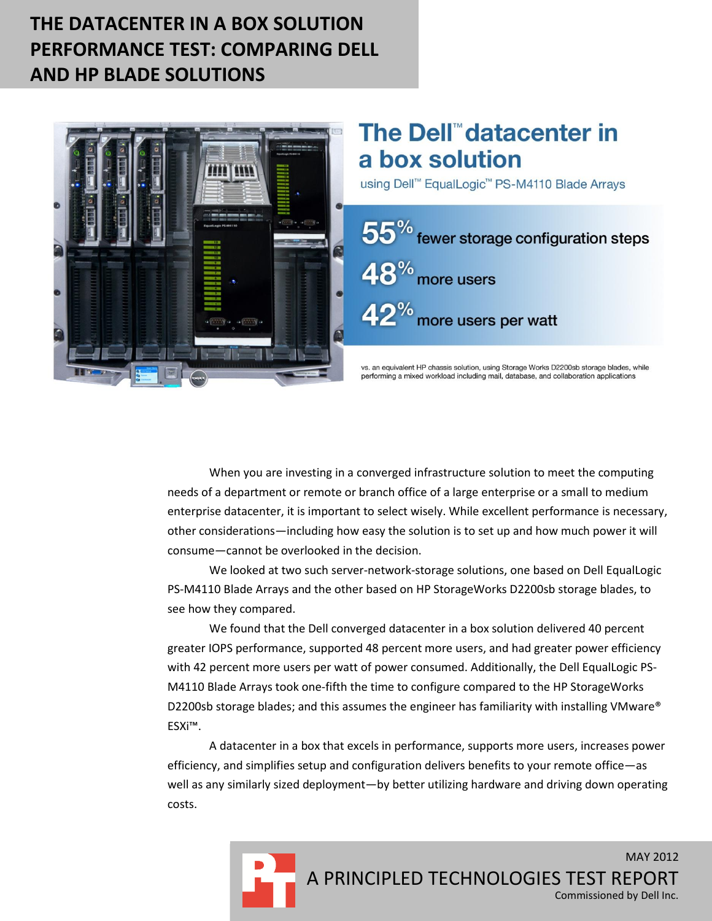# **THE DATACENTER IN A BOX SOLUTION PERFORMANCE TEST: COMPARING DELL AND HP BLADE SOLUTIONS**



# The Dell<sup>™</sup>datacenter in a box solution

using Dell™ EqualLogic™ PS-M4110 Blade Arrays



vs. an equivalent HP chassis solution, using Storage Works D2200sb storage blades, while performing a mixed workload including mail, database, and collaboration applications

When you are investing in a converged infrastructure solution to meet the computing needs of a department or remote or branch office of a large enterprise or a small to medium enterprise datacenter, it is important to select wisely. While excellent performance is necessary, other considerations—including how easy the solution is to set up and how much power it will consume—cannot be overlooked in the decision.

We looked at two such server-network-storage solutions, one based on Dell EqualLogic PS-M4110 Blade Arrays and the other based on HP StorageWorks D2200sb storage blades, to see how they compared.

We found that the Dell converged datacenter in a box solution delivered 40 percent greater IOPS performance, supported 48 percent more users, and had greater power efficiency with 42 percent more users per watt of power consumed. Additionally, the Dell EqualLogic PS-M4110 Blade Arrays took one-fifth the time to configure compared to the HP StorageWorks D2200sb storage blades; and this assumes the engineer has familiarity with installing VMware® ESXi™.

A datacenter in a box that excels in performance, supports more users, increases power efficiency, and simplifies setup and configuration delivers benefits to your remote office—as well as any similarly sized deployment—by better utilizing hardware and driving down operating costs.

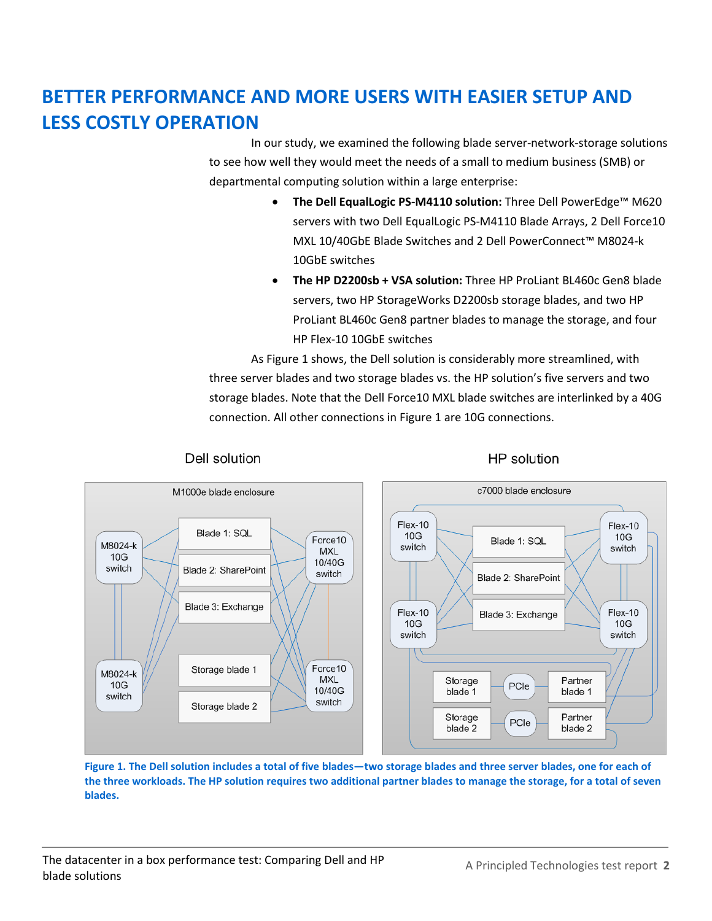# **BETTER PERFORMANCE AND MORE USERS WITH EASIER SETUP AND LESS COSTLY OPERATION**

In our study, we examined the following blade server-network-storage solutions to see how well they would meet the needs of a small to medium business (SMB) or departmental computing solution within a large enterprise:

- **The Dell EqualLogic PS-M4110 solution:** Three Dell PowerEdge™ M620 servers with two Dell EqualLogic PS-M4110 Blade Arrays, 2 Dell Force10 MXL 10/40GbE Blade Switches and 2 Dell PowerConnect™ M8024-k 10GbE switches
- **The HP D2200sb + VSA solution:** Three HP ProLiant BL460c Gen8 blade servers, two HP StorageWorks D2200sb storage blades, and two HP ProLiant BL460c Gen8 partner blades to manage the storage, and four HP Flex-10 10GbE switches

As Figure 1 shows, the Dell solution is considerably more streamlined, with three server blades and two storage blades vs. the HP solution's five servers and two storage blades. Note that the Dell Force10 MXL blade switches are interlinked by a 40G connection. All other connections in Figure 1 are 10G connections.



Figure 1. The Dell solution includes a total of five blades—two storage blades and three server blades, one for each of **the three workloads. The HP solution requires two additional partner blades to manage the storage, for a total of seven blades.**

### Dell solution

### HP solution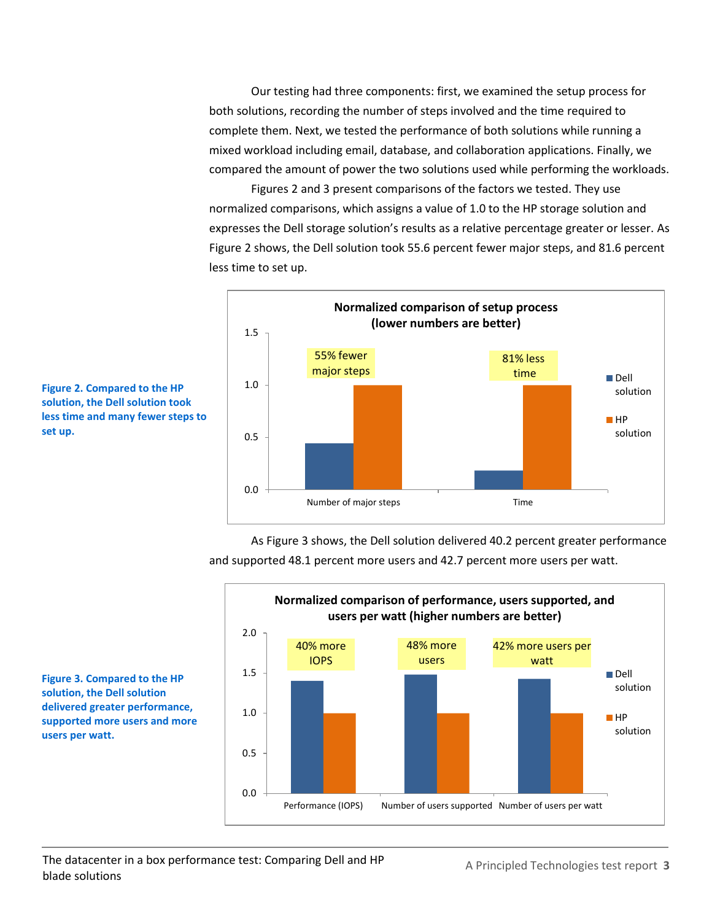Our testing had three components: first, we examined the setup process for both solutions, recording the number of steps involved and the time required to complete them. Next, we tested the performance of both solutions while running a mixed workload including email, database, and collaboration applications. Finally, we compared the amount of power the two solutions used while performing the workloads.

Figures 2 and 3 present comparisons of the factors we tested. They use normalized comparisons, which assigns a value of 1.0 to the HP storage solution and expresses the Dell storage solution's results as a relative percentage greater or lesser. As Figure 2 shows, the Dell solution took 55.6 percent fewer major steps, and 81.6 percent less time to set up.



**Figure 2. Compared to the HP solution, the Dell solution took less time and many fewer steps to set up.**

> As Figure 3 shows, the Dell solution delivered 40.2 percent greater performance and supported 48.1 percent more users and 42.7 percent more users per watt.



**Figure 3. Compared to the HP solution, the Dell solution delivered greater performance, supported more users and more users per watt.**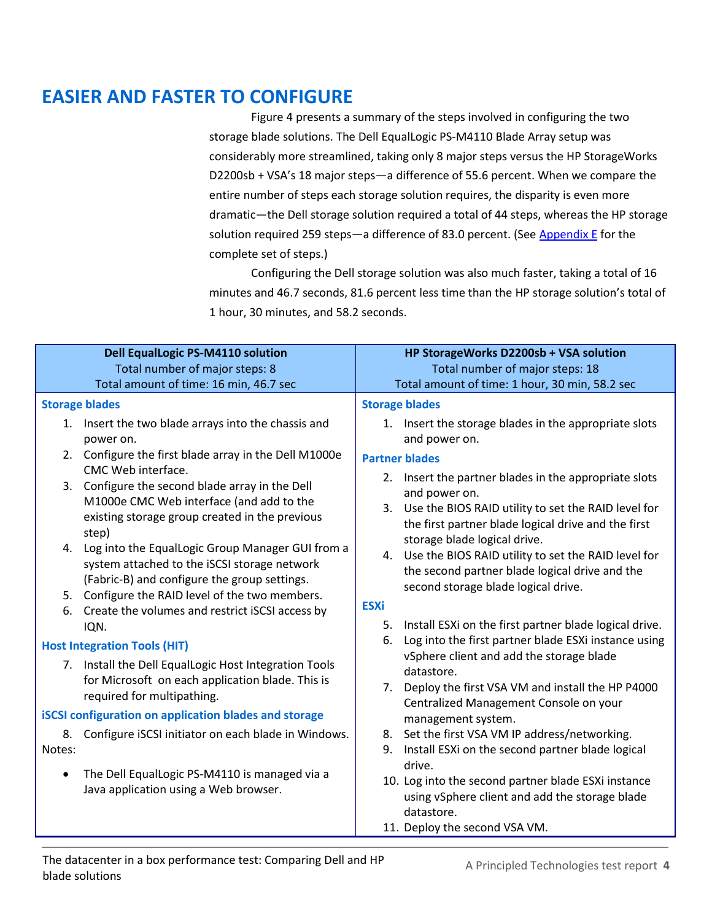# **EASIER AND FASTER TO CONFIGURE**

Figure 4 presents a summary of the steps involved in configuring the two storage blade solutions. The Dell EqualLogic PS-M4110 Blade Array setup was considerably more streamlined, taking only 8 major steps versus the HP StorageWorks D2200sb + VSA's 18 major steps—a difference of 55.6 percent. When we compare the entire number of steps each storage solution requires, the disparity is even more dramatic—the Dell storage solution required a total of 44 steps, whereas the HP storage solution required 259 steps-a difference of 83.0 percent. (Se[e Appendix E](#page-28-0) for the complete set of steps.)

Configuring the Dell storage solution was also much faster, taking a total of 16 minutes and 46.7 seconds, 81.6 percent less time than the HP storage solution's total of 1 hour, 30 minutes, and 58.2 seconds.

|           | <b>Dell EqualLogic PS-M4110 solution</b>                                                                                                                                                            | HP StorageWorks D2200sb + VSA solution                                                                                                                                                                                  |  |
|-----------|-----------------------------------------------------------------------------------------------------------------------------------------------------------------------------------------------------|-------------------------------------------------------------------------------------------------------------------------------------------------------------------------------------------------------------------------|--|
|           | Total number of major steps: 8                                                                                                                                                                      | Total number of major steps: 18                                                                                                                                                                                         |  |
|           | Total amount of time: 16 min, 46.7 sec                                                                                                                                                              | Total amount of time: 1 hour, 30 min, 58.2 sec                                                                                                                                                                          |  |
|           | <b>Storage blades</b>                                                                                                                                                                               | <b>Storage blades</b>                                                                                                                                                                                                   |  |
|           | 1. Insert the two blade arrays into the chassis and<br>power on.                                                                                                                                    | 1. Insert the storage blades in the appropriate slots<br>and power on.                                                                                                                                                  |  |
|           | 2. Configure the first blade array in the Dell M1000e                                                                                                                                               | <b>Partner blades</b>                                                                                                                                                                                                   |  |
| 3.        | CMC Web interface.<br>Configure the second blade array in the Dell<br>M1000e CMC Web interface (and add to the<br>existing storage group created in the previous<br>step)                           | 2. Insert the partner blades in the appropriate slots<br>and power on.<br>3. Use the BIOS RAID utility to set the RAID level for<br>the first partner blade logical drive and the first<br>storage blade logical drive. |  |
| 5.        | 4. Log into the EqualLogic Group Manager GUI from a<br>system attached to the iSCSI storage network<br>(Fabric-B) and configure the group settings.<br>Configure the RAID level of the two members. | 4. Use the BIOS RAID utility to set the RAID level for<br>the second partner blade logical drive and the<br>second storage blade logical drive.                                                                         |  |
| 6.        | Create the volumes and restrict iSCSI access by                                                                                                                                                     | <b>ESXi</b>                                                                                                                                                                                                             |  |
|           | IQN.                                                                                                                                                                                                | Install ESXi on the first partner blade logical drive.<br>5.                                                                                                                                                            |  |
|           | <b>Host Integration Tools (HIT)</b>                                                                                                                                                                 | Log into the first partner blade ESXi instance using<br>6.                                                                                                                                                              |  |
|           | 7. Install the Dell EqualLogic Host Integration Tools<br>for Microsoft on each application blade. This is<br>required for multipathing.                                                             | vSphere client and add the storage blade<br>datastore.<br>Deploy the first VSA VM and install the HP P4000<br>7.<br>Centralized Management Console on your                                                              |  |
|           | <b>iSCSI configuration on application blades and storage</b>                                                                                                                                        | management system.                                                                                                                                                                                                      |  |
| Notes:    | 8. Configure iSCSI initiator on each blade in Windows.                                                                                                                                              | 8. Set the first VSA VM IP address/networking.<br>Install ESXi on the second partner blade logical<br>9.                                                                                                                |  |
| $\bullet$ | The Dell EqualLogic PS-M4110 is managed via a<br>Java application using a Web browser.                                                                                                              | drive.<br>10. Log into the second partner blade ESXi instance<br>using vSphere client and add the storage blade<br>datastore.<br>11. Deploy the second VSA VM.                                                          |  |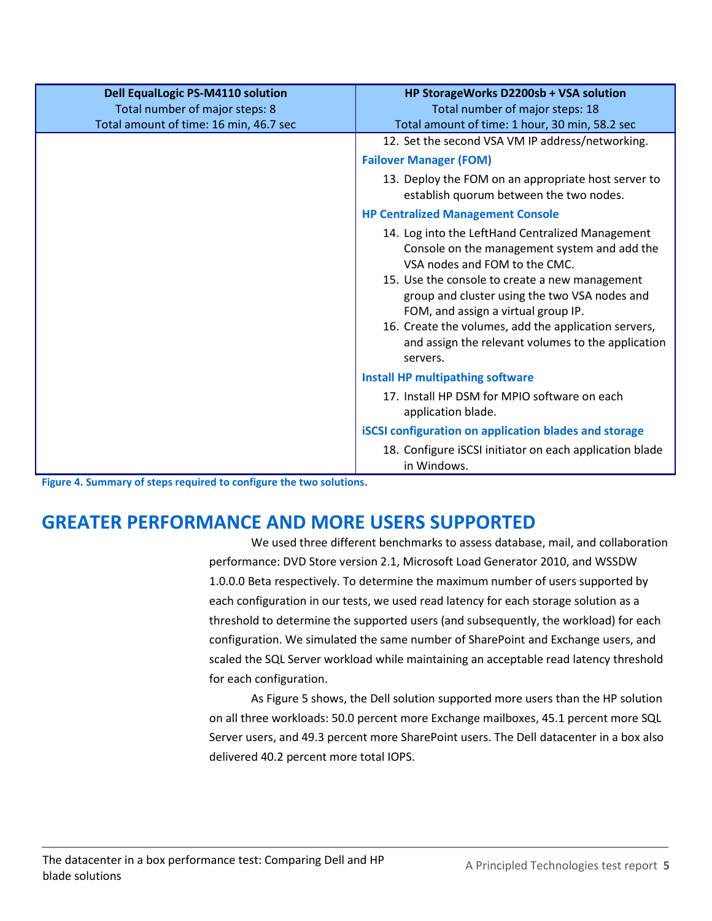| <b>Dell EqualLogic PS-M4110 solution</b> | HP StorageWorks D2200sb + VSA solution                                                                                                                                                                                                                                                                                                                                                                |
|------------------------------------------|-------------------------------------------------------------------------------------------------------------------------------------------------------------------------------------------------------------------------------------------------------------------------------------------------------------------------------------------------------------------------------------------------------|
| Total number of major steps: 8           | Total number of major steps: 18                                                                                                                                                                                                                                                                                                                                                                       |
| Total amount of time: 16 min, 46.7 sec   | Total amount of time: 1 hour, 30 min, 58.2 sec                                                                                                                                                                                                                                                                                                                                                        |
|                                          | 12. Set the second VSA VM IP address/networking.                                                                                                                                                                                                                                                                                                                                                      |
|                                          | <b>Failover Manager (FOM)</b>                                                                                                                                                                                                                                                                                                                                                                         |
|                                          | 13. Deploy the FOM on an appropriate host server to<br>establish quorum between the two nodes.                                                                                                                                                                                                                                                                                                        |
|                                          | <b>HP Centralized Management Console</b>                                                                                                                                                                                                                                                                                                                                                              |
|                                          | 14. Log into the LeftHand Centralized Management<br>Console on the management system and add the<br>VSA nodes and FOM to the CMC.<br>15. Use the console to create a new management<br>group and cluster using the two VSA nodes and<br>FOM, and assign a virtual group IP.<br>16. Create the volumes, add the application servers,<br>and assign the relevant volumes to the application<br>servers. |
|                                          | <b>Install HP multipathing software</b>                                                                                                                                                                                                                                                                                                                                                               |
|                                          | 17. Install HP DSM for MPIO software on each<br>application blade.                                                                                                                                                                                                                                                                                                                                    |
|                                          | <b>iSCSI</b> configuration on application blades and storage                                                                                                                                                                                                                                                                                                                                          |
|                                          | 18. Configure iSCSI initiator on each application blade<br>in Windows.                                                                                                                                                                                                                                                                                                                                |

**Figure 4. Summary of steps required to configure the two solutions.**

# **GREATER PERFORMANCE AND MORE USERS SUPPORTED**

We used three different benchmarks to assess database, mail, and collaboration performance: DVD Store version 2.1, Microsoft Load Generator 2010, and WSSDW 1.0.0.0 Beta respectively. To determine the maximum number of users supported by each configuration in our tests, we used read latency for each storage solution as a threshold to determine the supported users (and subsequently, the workload) for each configuration. We simulated the same number of SharePoint and Exchange users, and scaled the SQL Server workload while maintaining an acceptable read latency threshold for each configuration.

As Figure 5 shows, the Dell solution supported more users than the HP solution on all three workloads: 50.0 percent more Exchange mailboxes, 45.1 percent more SQL Server users, and 49.3 percent more SharePoint users. The Dell datacenter in a box also delivered 40.2 percent more total IOPS.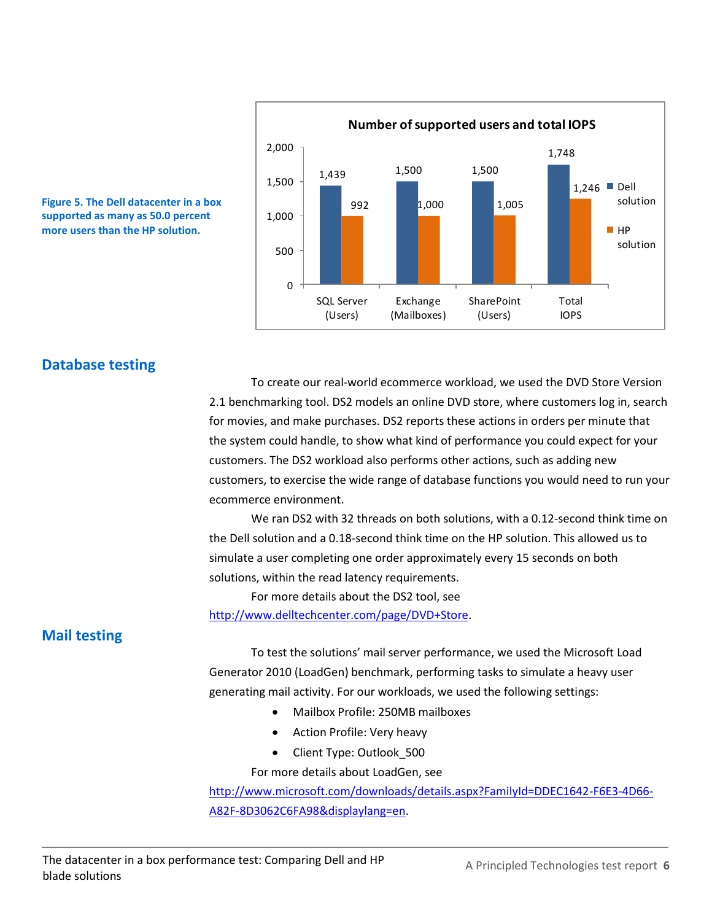



### **Database testing**

To create our real-world ecommerce workload, we used the DVD Store Version 2.1 benchmarking tool. DS2 models an online DVD store, where customers log in, search for movies, and make purchases. DS2 reports these actions in orders per minute that the system could handle, to show what kind of performance you could expect for your customers. The DS2 workload also performs other actions, such as adding new customers, to exercise the wide range of database functions you would need to run your ecommerce environment.

We ran DS2 with 32 threads on both solutions, with a 0.12-second think time on the Dell solution and a 0.18-second think time on the HP solution. This allowed us to simulate a user completing one order approximately every 15 seconds on both solutions, within the read latency requirements.

For more details about the DS2 tool, see [http://www.delltechcenter.com/page/DVD+Store.](http://www.delltechcenter.com/page/DVD+Store)

### **Mail testing**

To test the solutions' mail server performance, we used the Microsoft Load Generator 2010 (LoadGen) benchmark, performing tasks to simulate a heavy user generating mail activity. For our workloads, we used the following settings:

- Mailbox Profile: 250MB mailboxes
- Action Profile: Very heavy
- Client Type: Outlook\_500

For more details about LoadGen, see

[http://www.microsoft.com/downloads/details.aspx?FamilyId=DDEC1642-F6E3-4D66-](http://www.microsoft.com/downloads/details.aspx?FamilyId=DDEC1642-F6E3-4D66-A82F-8D3062C6FA98&displaylang=en) [A82F-8D3062C6FA98&displaylang=en.](http://www.microsoft.com/downloads/details.aspx?FamilyId=DDEC1642-F6E3-4D66-A82F-8D3062C6FA98&displaylang=en)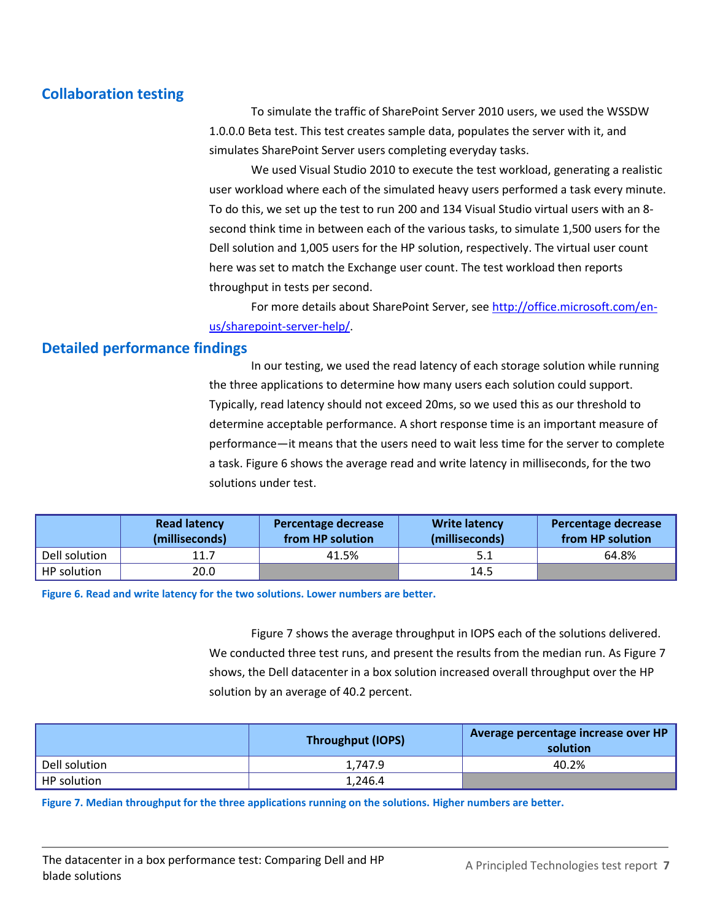### **Collaboration testing**

To simulate the traffic of SharePoint Server 2010 users, we used the WSSDW 1.0.0.0 Beta test. This test creates sample data, populates the server with it, and simulates SharePoint Server users completing everyday tasks.

We used Visual Studio 2010 to execute the test workload, generating a realistic user workload where each of the simulated heavy users performed a task every minute. To do this, we set up the test to run 200 and 134 Visual Studio virtual users with an 8 second think time in between each of the various tasks, to simulate 1,500 users for the Dell solution and 1,005 users for the HP solution, respectively. The virtual user count here was set to match the Exchange user count. The test workload then reports throughput in tests per second.

For more details about SharePoint Server, see [http://office.microsoft.com/en](http://office.microsoft.com/en-us/sharepoint-server-help/)[us/sharepoint-server-help/.](http://office.microsoft.com/en-us/sharepoint-server-help/)

### **Detailed performance findings**

In our testing, we used the read latency of each storage solution while running the three applications to determine how many users each solution could support. Typically, read latency should not exceed 20ms, so we used this as our threshold to determine acceptable performance. A short response time is an important measure of performance—it means that the users need to wait less time for the server to complete a task. Figure 6 shows the average read and write latency in milliseconds, for the two solutions under test.

|               | <b>Read latency</b><br>(milliseconds) | Percentage decrease<br>from HP solution | <b>Write latency</b><br>(milliseconds) | Percentage decrease<br>from HP solution |
|---------------|---------------------------------------|-----------------------------------------|----------------------------------------|-----------------------------------------|
| Dell solution | 11.7                                  | 41.5%                                   | 5.1                                    | 64.8%                                   |
| HP solution   | 20.0                                  |                                         | 14.5                                   |                                         |

**Figure 6. Read and write latency for the two solutions. Lower numbers are better.**

Figure 7 shows the average throughput in IOPS each of the solutions delivered. We conducted three test runs, and present the results from the median run. As Figure 7 shows, the Dell datacenter in a box solution increased overall throughput over the HP solution by an average of 40.2 percent.

|               | <b>Throughput (IOPS)</b> | Average percentage increase over HP<br>solution |
|---------------|--------------------------|-------------------------------------------------|
| Dell solution | 1.747.9                  | 40.2%                                           |
| HP solution   | 1,246.4                  |                                                 |

**Figure 7. Median throughput for the three applications running on the solutions. Higher numbers are better.**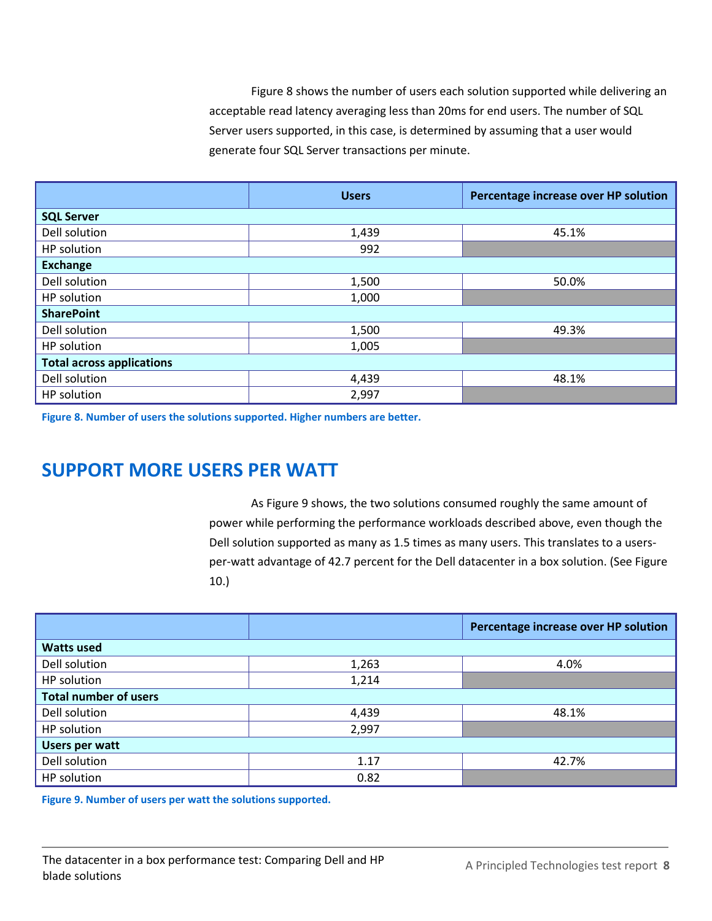Figure 8 shows the number of users each solution supported while delivering an acceptable read latency averaging less than 20ms for end users. The number of SQL Server users supported, in this case, is determined by assuming that a user would generate four SQL Server transactions per minute.

|                                  | <b>Users</b> | Percentage increase over HP solution |  |
|----------------------------------|--------------|--------------------------------------|--|
| <b>SQL Server</b>                |              |                                      |  |
| Dell solution                    | 1,439        | 45.1%                                |  |
| HP solution                      | 992          |                                      |  |
| <b>Exchange</b>                  |              |                                      |  |
| Dell solution                    | 1,500        | 50.0%                                |  |
| HP solution                      | 1,000        |                                      |  |
| <b>SharePoint</b>                |              |                                      |  |
| Dell solution                    | 1,500        | 49.3%                                |  |
| HP solution                      | 1,005        |                                      |  |
| <b>Total across applications</b> |              |                                      |  |
| Dell solution                    | 4,439        | 48.1%                                |  |
| HP solution                      | 2,997        |                                      |  |

**Figure 8. Number of users the solutions supported. Higher numbers are better.**

# **SUPPORT MORE USERS PER WATT**

As Figure 9 shows, the two solutions consumed roughly the same amount of power while performing the performance workloads described above, even though the Dell solution supported as many as 1.5 times as many users. This translates to a usersper-watt advantage of 42.7 percent for the Dell datacenter in a box solution. (See Figure 10.)

|                              |       | Percentage increase over HP solution |
|------------------------------|-------|--------------------------------------|
| <b>Watts used</b>            |       |                                      |
| Dell solution                | 1,263 | 4.0%                                 |
| HP solution                  | 1,214 |                                      |
| <b>Total number of users</b> |       |                                      |
| Dell solution                | 4,439 | 48.1%                                |
| HP solution                  | 2,997 |                                      |
| <b>Users per watt</b>        |       |                                      |
| Dell solution                | 1.17  | 42.7%                                |
| HP solution                  | 0.82  |                                      |

**Figure 9. Number of users per watt the solutions supported.**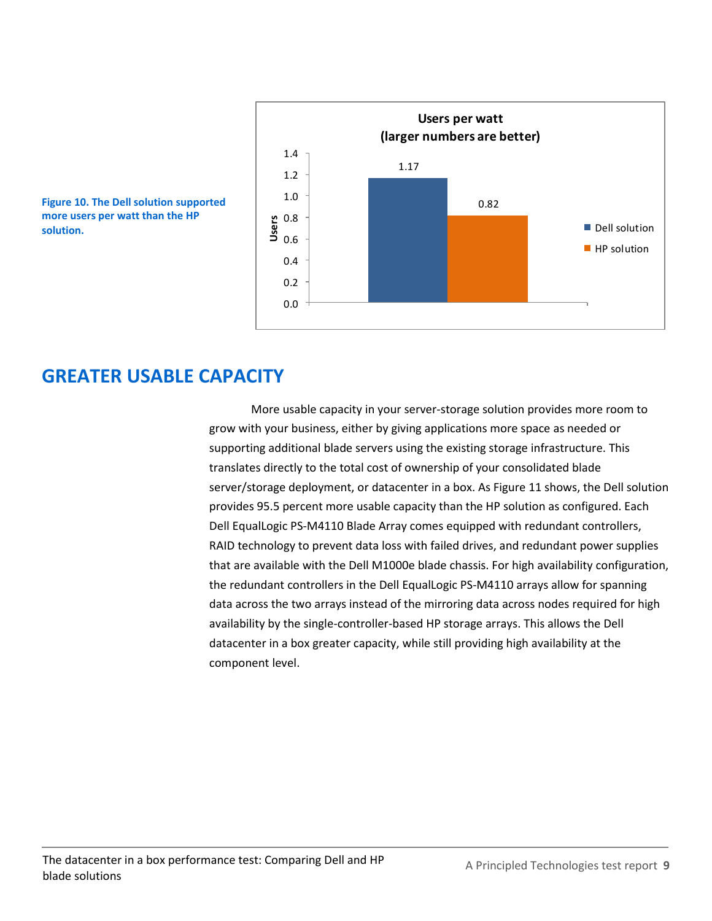

**Figure 10. The Dell solution supported more users per watt than the HP solution.**

## **GREATER USABLE CAPACITY**

More usable capacity in your server-storage solution provides more room to grow with your business, either by giving applications more space as needed or supporting additional blade servers using the existing storage infrastructure. This translates directly to the total cost of ownership of your consolidated blade server/storage deployment, or datacenter in a box. As Figure 11 shows, the Dell solution provides 95.5 percent more usable capacity than the HP solution as configured. Each Dell EqualLogic PS-M4110 Blade Array comes equipped with redundant controllers, RAID technology to prevent data loss with failed drives, and redundant power supplies that are available with the Dell M1000e blade chassis. For high availability configuration, the redundant controllers in the Dell EqualLogic PS-M4110 arrays allow for spanning data across the two arrays instead of the mirroring data across nodes required for high availability by the single-controller-based HP storage arrays. This allows the Dell datacenter in a box greater capacity, while still providing high availability at the component level.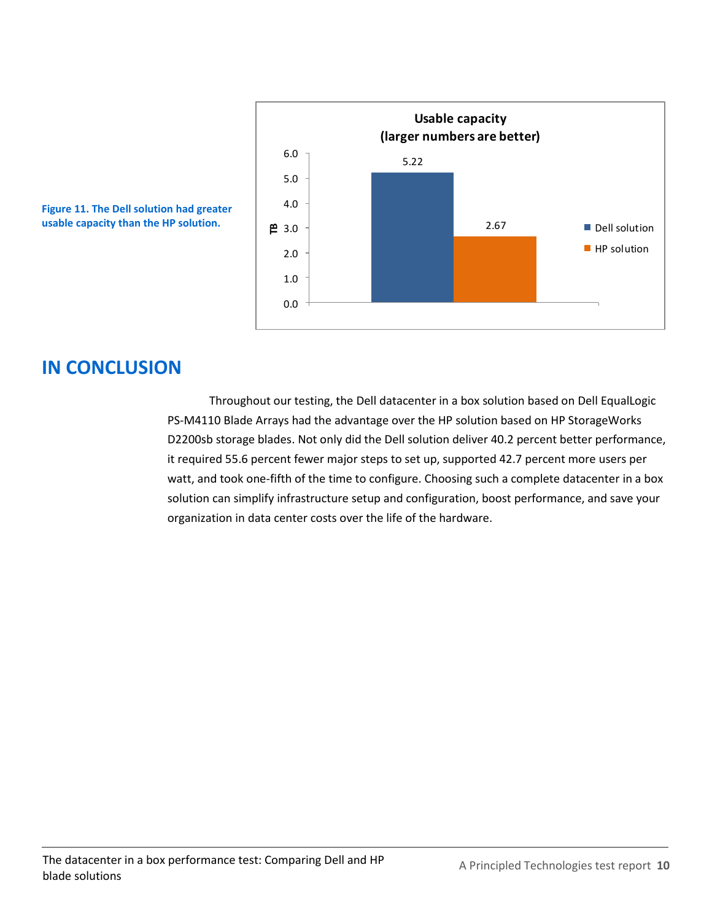



# **IN CONCLUSION**

Throughout our testing, the Dell datacenter in a box solution based on Dell EqualLogic PS-M4110 Blade Arrays had the advantage over the HP solution based on HP StorageWorks D2200sb storage blades. Not only did the Dell solution deliver 40.2 percent better performance, it required 55.6 percent fewer major steps to set up, supported 42.7 percent more users per watt, and took one-fifth of the time to configure. Choosing such a complete datacenter in a box solution can simplify infrastructure setup and configuration, boost performance, and save your organization in data center costs over the life of the hardware.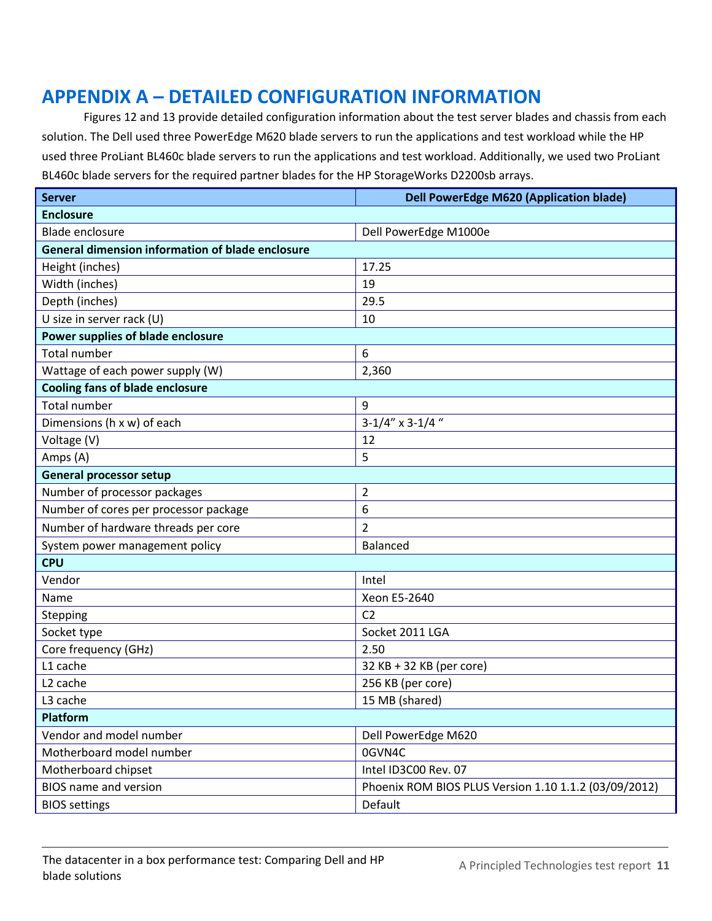# **APPENDIX A – DETAILED CONFIGURATION INFORMATION**

Figures 12 and 13 provide detailed configuration information about the test server blades and chassis from each solution. The Dell used three PowerEdge M620 blade servers to run the applications and test workload while the HP used three ProLiant BL460c blade servers to run the applications and test workload. Additionally, we used two ProLiant BL460c blade servers for the required partner blades for the HP StorageWorks D2200sb arrays.

| <b>Server</b>                                           | <b>Dell PowerEdge M620 (Application blade)</b>        |  |  |  |
|---------------------------------------------------------|-------------------------------------------------------|--|--|--|
| <b>Enclosure</b>                                        |                                                       |  |  |  |
| <b>Blade enclosure</b>                                  | Dell PowerEdge M1000e                                 |  |  |  |
| <b>General dimension information of blade enclosure</b> |                                                       |  |  |  |
| Height (inches)                                         | 17.25                                                 |  |  |  |
| Width (inches)                                          | 19                                                    |  |  |  |
| Depth (inches)                                          | 29.5                                                  |  |  |  |
| U size in server rack (U)                               | 10                                                    |  |  |  |
| Power supplies of blade enclosure                       |                                                       |  |  |  |
| <b>Total number</b>                                     | 6                                                     |  |  |  |
| Wattage of each power supply (W)                        | 2,360                                                 |  |  |  |
| <b>Cooling fans of blade enclosure</b>                  |                                                       |  |  |  |
| <b>Total number</b>                                     | 9                                                     |  |  |  |
| Dimensions (h x w) of each                              | $3-1/4''$ x 3-1/4"                                    |  |  |  |
| Voltage (V)                                             | 12                                                    |  |  |  |
| Amps (A)                                                | 5                                                     |  |  |  |
| <b>General processor setup</b>                          |                                                       |  |  |  |
| Number of processor packages                            | $\overline{2}$                                        |  |  |  |
| Number of cores per processor package                   | 6                                                     |  |  |  |
| Number of hardware threads per core                     | $\overline{2}$                                        |  |  |  |
| System power management policy                          | <b>Balanced</b>                                       |  |  |  |
| <b>CPU</b>                                              |                                                       |  |  |  |
| Vendor                                                  | Intel                                                 |  |  |  |
| Name                                                    | Xeon E5-2640                                          |  |  |  |
| <b>Stepping</b>                                         | C <sub>2</sub>                                        |  |  |  |
| Socket type                                             | Socket 2011 LGA                                       |  |  |  |
| Core frequency (GHz)                                    | 2.50                                                  |  |  |  |
| L1 cache                                                | 32 KB + 32 KB (per core)                              |  |  |  |
| L <sub>2</sub> cache                                    | 256 KB (per core)                                     |  |  |  |
| L3 cache                                                | 15 MB (shared)                                        |  |  |  |
| <b>Platform</b>                                         |                                                       |  |  |  |
| Vendor and model number                                 | Dell PowerEdge M620                                   |  |  |  |
| Motherboard model number                                | 0GVN4C                                                |  |  |  |
| Motherboard chipset                                     | Intel ID3C00 Rev. 07                                  |  |  |  |
| <b>BIOS name and version</b>                            | Phoenix ROM BIOS PLUS Version 1.10 1.1.2 (03/09/2012) |  |  |  |
| <b>BIOS settings</b>                                    | Default                                               |  |  |  |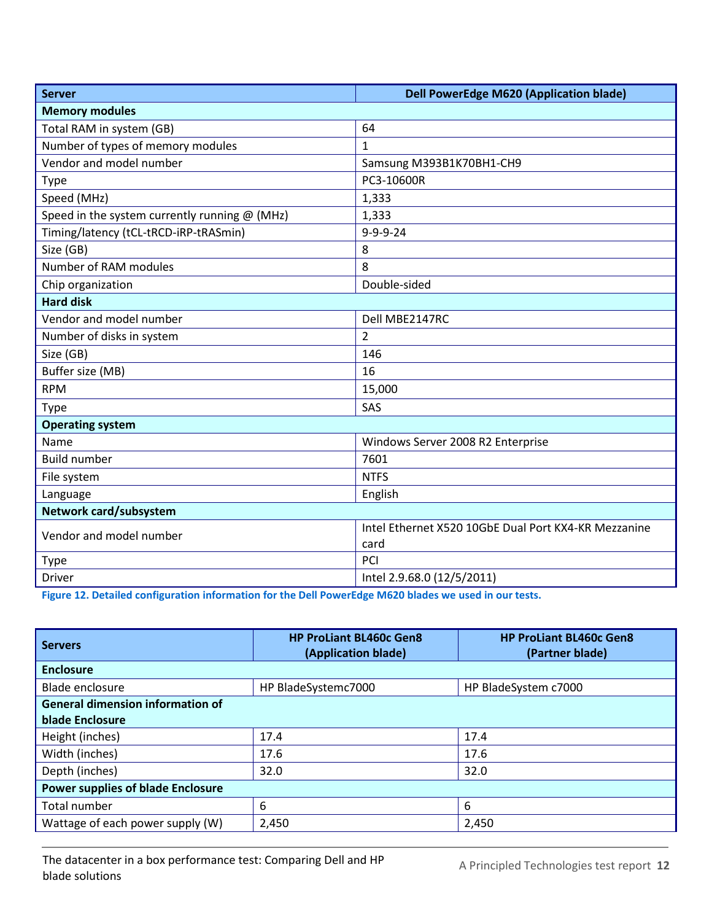| <b>Server</b>                                 | <b>Dell PowerEdge M620 (Application blade)</b>       |  |  |
|-----------------------------------------------|------------------------------------------------------|--|--|
| <b>Memory modules</b>                         |                                                      |  |  |
| Total RAM in system (GB)                      | 64                                                   |  |  |
| Number of types of memory modules             | $\mathbf{1}$                                         |  |  |
| Vendor and model number                       | Samsung M393B1K70BH1-CH9                             |  |  |
| Type                                          | PC3-10600R                                           |  |  |
| Speed (MHz)                                   | 1,333                                                |  |  |
| Speed in the system currently running @ (MHz) | 1,333                                                |  |  |
| Timing/latency (tCL-tRCD-iRP-tRASmin)         | $9 - 9 - 9 - 24$                                     |  |  |
| Size (GB)                                     | 8                                                    |  |  |
| Number of RAM modules                         | 8                                                    |  |  |
| Chip organization                             | Double-sided                                         |  |  |
| <b>Hard disk</b>                              |                                                      |  |  |
| Vendor and model number                       | Dell MBE2147RC                                       |  |  |
| Number of disks in system                     | $\overline{2}$                                       |  |  |
| Size (GB)                                     | 146                                                  |  |  |
| Buffer size (MB)                              | 16                                                   |  |  |
| <b>RPM</b>                                    | 15,000                                               |  |  |
| Type                                          | SAS                                                  |  |  |
| <b>Operating system</b>                       |                                                      |  |  |
| Name                                          | Windows Server 2008 R2 Enterprise                    |  |  |
| <b>Build number</b>                           | 7601                                                 |  |  |
| File system                                   | <b>NTFS</b>                                          |  |  |
| Language                                      | English                                              |  |  |
| Network card/subsystem                        |                                                      |  |  |
| Vendor and model number                       | Intel Ethernet X520 10GbE Dual Port KX4-KR Mezzanine |  |  |
|                                               | card                                                 |  |  |
| <b>Type</b>                                   | PCI                                                  |  |  |
| Driver                                        | Intel 2.9.68.0 (12/5/2011)                           |  |  |

**Figure 12. Detailed configuration information for the Dell PowerEdge M620 blades we used in our tests.**

| <b>Servers</b>                           | <b>HP ProLiant BL460c Gen8</b><br>(Application blade) | <b>HP ProLiant BL460c Gen8</b><br>(Partner blade) |
|------------------------------------------|-------------------------------------------------------|---------------------------------------------------|
| <b>Enclosure</b>                         |                                                       |                                                   |
| <b>Blade enclosure</b>                   | HP BladeSystemc7000                                   | HP BladeSystem c7000                              |
| <b>General dimension information of</b>  |                                                       |                                                   |
| blade Enclosure                          |                                                       |                                                   |
| Height (inches)                          | 17.4                                                  | 17.4                                              |
| Width (inches)                           | 17.6                                                  | 17.6                                              |
| Depth (inches)                           | 32.0                                                  | 32.0                                              |
| <b>Power supplies of blade Enclosure</b> |                                                       |                                                   |
| Total number                             | 6                                                     | 6                                                 |
| Wattage of each power supply (W)         | 2,450                                                 | 2,450                                             |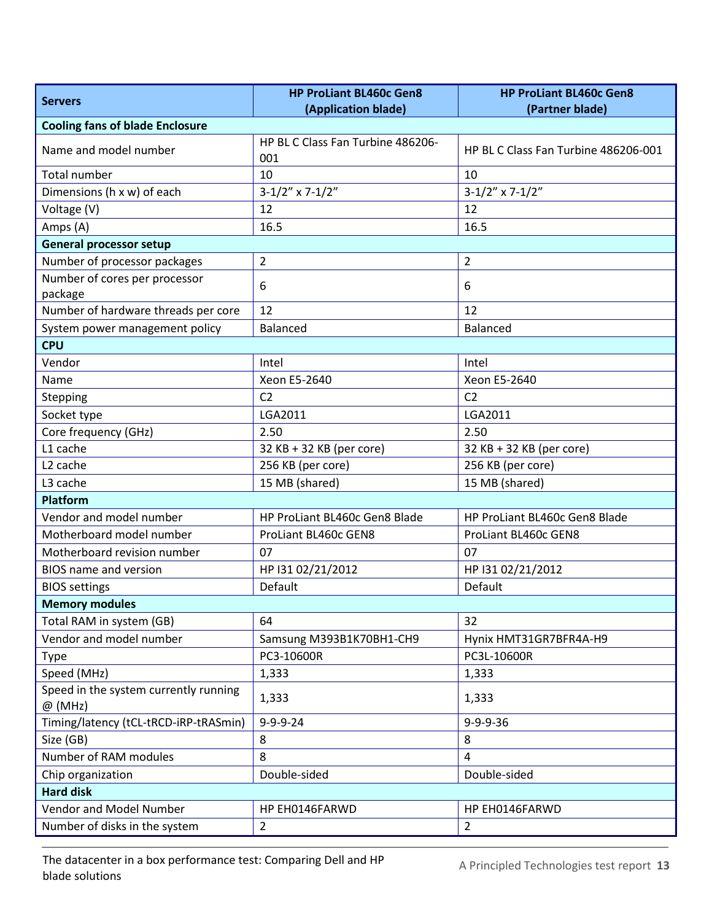| <b>Servers</b>                                     | <b>HP ProLiant BL460c Gen8</b>    | <b>HP ProLiant BL460c Gen8</b>       |  |
|----------------------------------------------------|-----------------------------------|--------------------------------------|--|
| <b>Cooling fans of blade Enclosure</b>             | (Application blade)               | (Partner blade)                      |  |
|                                                    | HP BL C Class Fan Turbine 486206- |                                      |  |
| Name and model number                              | 001                               | HP BL C Class Fan Turbine 486206-001 |  |
| <b>Total number</b>                                | 10                                | 10                                   |  |
| Dimensions (h x w) of each                         | $3-1/2''$ x 7-1/2"                | $3-1/2"$ x 7-1/2"                    |  |
| Voltage (V)                                        | 12                                | 12                                   |  |
| Amps (A)                                           | 16.5                              | 16.5                                 |  |
| <b>General processor setup</b>                     |                                   |                                      |  |
| Number of processor packages                       | $\overline{2}$                    | $\overline{2}$                       |  |
| Number of cores per processor<br>package           | 6                                 | 6                                    |  |
| Number of hardware threads per core                | 12                                | 12                                   |  |
| System power management policy                     | <b>Balanced</b>                   | <b>Balanced</b>                      |  |
| <b>CPU</b>                                         |                                   |                                      |  |
| Vendor                                             | Intel                             | Intel                                |  |
| Name                                               | Xeon E5-2640                      | Xeon E5-2640                         |  |
| Stepping                                           | C <sub>2</sub>                    | C <sub>2</sub>                       |  |
| Socket type                                        | LGA2011                           | LGA2011                              |  |
| Core frequency (GHz)                               | 2.50                              | 2.50                                 |  |
| L1 cache                                           | 32 KB + 32 KB (per core)          | 32 KB + 32 KB (per core)             |  |
| L <sub>2</sub> cache                               | 256 KB (per core)                 | 256 KB (per core)                    |  |
| L <sub>3</sub> cache                               | 15 MB (shared)                    | 15 MB (shared)                       |  |
| <b>Platform</b>                                    |                                   |                                      |  |
| Vendor and model number                            | HP ProLiant BL460c Gen8 Blade     | HP ProLiant BL460c Gen8 Blade        |  |
| Motherboard model number                           | ProLiant BL460c GEN8              | ProLiant BL460c GEN8                 |  |
| Motherboard revision number                        | 07                                | 07                                   |  |
| <b>BIOS</b> name and version                       | HP I31 02/21/2012                 | HP I31 02/21/2012                    |  |
| <b>BIOS settings</b>                               | Default                           | Default                              |  |
| <b>Memory modules</b>                              |                                   |                                      |  |
| Total RAM in system (GB)                           | 64                                | 32                                   |  |
| Vendor and model number                            | Samsung M393B1K70BH1-CH9          | Hynix HMT31GR7BFR4A-H9               |  |
| <b>Type</b>                                        | PC3-10600R                        | PC3L-10600R                          |  |
| Speed (MHz)                                        | 1,333                             | 1,333                                |  |
| Speed in the system currently running<br>$@$ (MHz) | 1,333                             | 1,333                                |  |
| Timing/latency (tCL-tRCD-iRP-tRASmin)              | $9 - 9 - 9 - 24$                  | $9 - 9 - 9 - 36$                     |  |
| Size (GB)                                          | 8                                 | 8                                    |  |
| Number of RAM modules                              | 8                                 | $\overline{4}$                       |  |
| Chip organization                                  | Double-sided                      | Double-sided                         |  |
| <b>Hard disk</b>                                   |                                   |                                      |  |
| Vendor and Model Number                            | HP EH0146FARWD                    | HP EH0146FARWD                       |  |
| Number of disks in the system                      | $\overline{2}$                    | $\overline{2}$                       |  |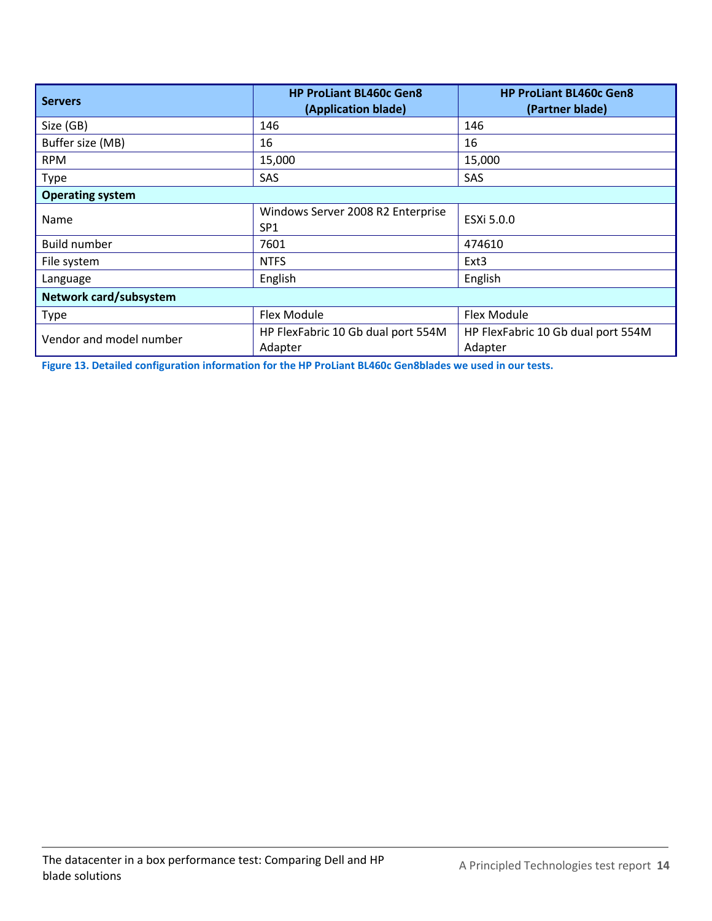| <b>Servers</b>          | <b>HP ProLiant BL460c Gen8</b><br>(Application blade) | <b>HP ProLiant BL460c Gen8</b><br>(Partner blade) |
|-------------------------|-------------------------------------------------------|---------------------------------------------------|
| Size (GB)               | 146                                                   | 146                                               |
| Buffer size (MB)        | 16                                                    | 16                                                |
| <b>RPM</b>              | 15,000                                                | 15,000                                            |
| Type                    | SAS                                                   | <b>SAS</b>                                        |
| <b>Operating system</b> |                                                       |                                                   |
| Name                    | Windows Server 2008 R2 Enterprise<br>SP <sub>1</sub>  | ESXi 5.0.0                                        |
| <b>Build number</b>     | 7601                                                  | 474610                                            |
| File system             | <b>NTFS</b>                                           | Ext <sub>3</sub>                                  |
| Language                | English                                               | English                                           |
| Network card/subsystem  |                                                       |                                                   |
| <b>Type</b>             | Flex Module                                           | Flex Module                                       |
| Vendor and model number | HP FlexFabric 10 Gb dual port 554M<br>Adapter         | HP FlexFabric 10 Gb dual port 554M<br>Adapter     |

**Figure 13. Detailed configuration information for the HP ProLiant BL460c Gen8blades we used in our tests.**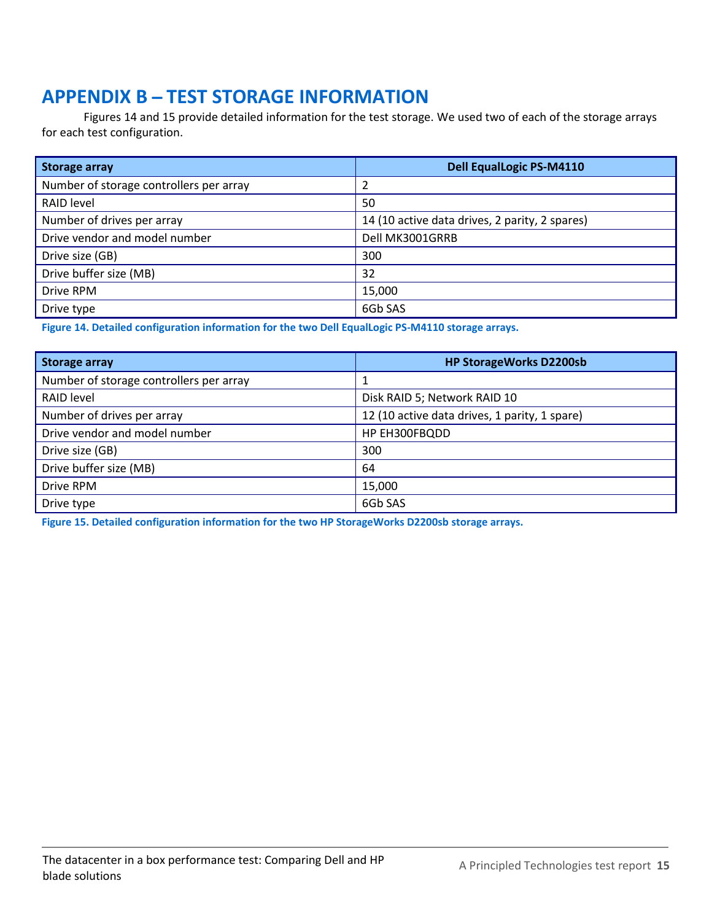# **APPENDIX B - TEST STORAGE INFORMATION**

Figures 14 and 15 provide detailed information for the test storage. We used two of each of the storage arrays for each test configuration.

| <b>Storage array</b>                    | <b>Dell EqualLogic PS-M4110</b>                |
|-----------------------------------------|------------------------------------------------|
| Number of storage controllers per array |                                                |
| RAID level                              | 50                                             |
| Number of drives per array              | 14 (10 active data drives, 2 parity, 2 spares) |
| Drive vendor and model number           | Dell MK3001GRRB                                |
| Drive size (GB)                         | 300                                            |
| Drive buffer size (MB)                  | 32                                             |
| Drive RPM                               | 15,000                                         |
| Drive type                              | 6Gb SAS                                        |

**Figure 14. Detailed configuration information for the two Dell EqualLogic PS-M4110 storage arrays.**

| <b>Storage array</b>                    | <b>HP StorageWorks D2200sb</b>                |
|-----------------------------------------|-----------------------------------------------|
| Number of storage controllers per array |                                               |
| RAID level                              | Disk RAID 5; Network RAID 10                  |
| Number of drives per array              | 12 (10 active data drives, 1 parity, 1 spare) |
| Drive vendor and model number           | HP EH300FBQDD                                 |
| Drive size (GB)                         | 300                                           |
| Drive buffer size (MB)                  | 64                                            |
| Drive RPM                               | 15,000                                        |
| Drive type                              | 6Gb SAS                                       |

**Figure 15. Detailed configuration information for the two HP StorageWorks D2200sb storage arrays.**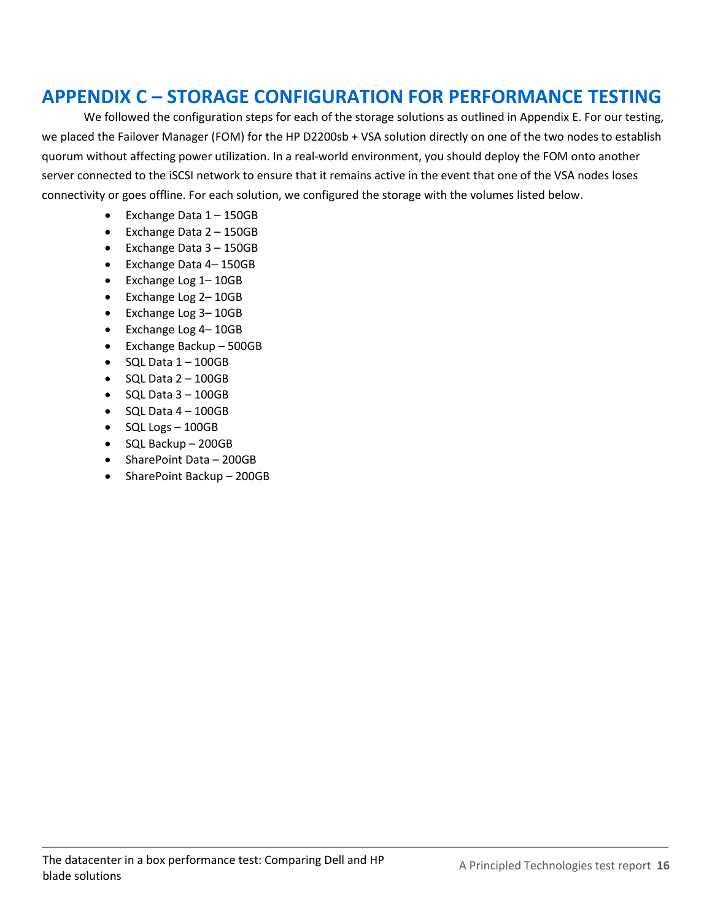# **APPENDIX C – STORAGE CONFIGURATION FOR PERFORMANCE TESTING**

We followed the configuration steps for each of the storage solutions as outlined in Appendix E. For our testing, we placed the Failover Manager (FOM) for the HP D2200sb + VSA solution directly on one of the two nodes to establish quorum without affecting power utilization. In a real-world environment, you should deploy the FOM onto another server connected to the iSCSI network to ensure that it remains active in the event that one of the VSA nodes loses connectivity or goes offline. For each solution, we configured the storage with the volumes listed below.

- Exchange Data 1 150GB
- Exchange Data 2 150GB
- Exchange Data 3 150GB
- Exchange Data 4– 150GB
- Exchange Log 1– 10GB
- Exchange Log 2-10GB
- Exchange Log 3-10GB
- Exchange Log 4– 10GB
- Exchange Backup 500GB
- $\bullet$  SQL Data  $1 100$ GB
- $\bullet$  SQL Data  $2 100$ GB
- $\bullet$  SQL Data  $3 100$ GB
- $\bullet$  SQL Data  $4 100$ GB
- $\bullet$  SQL Logs 100GB
- SQL Backup 200GB
- SharePoint Data 200GB
- SharePoint Backup 200GB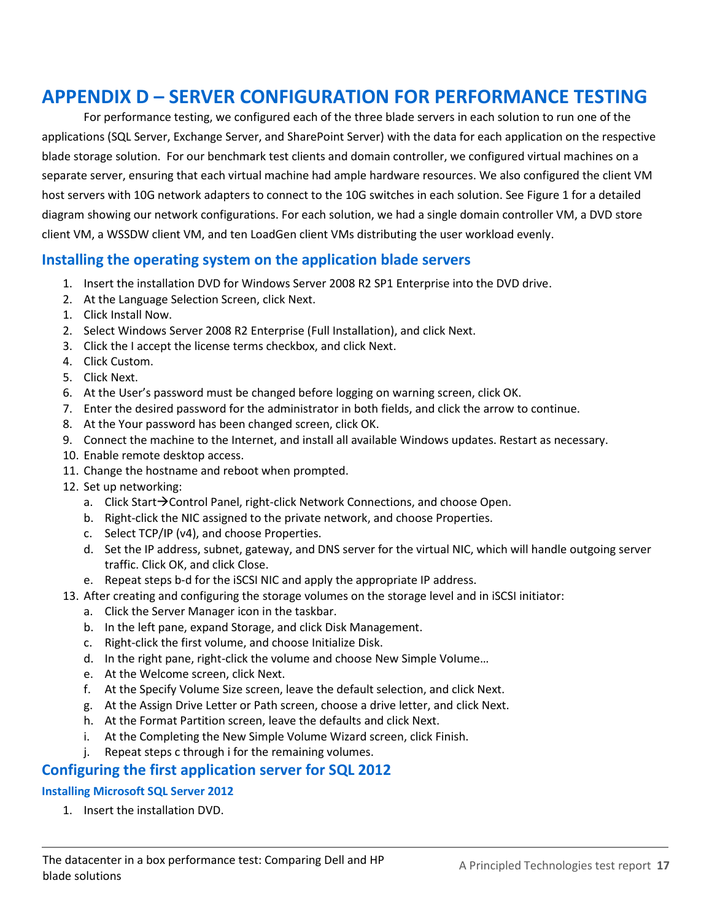# **APPENDIX D – SERVER CONFIGURATION FOR PERFORMANCE TESTING**

For performance testing, we configured each of the three blade servers in each solution to run one of the applications (SQL Server, Exchange Server, and SharePoint Server) with the data for each application on the respective blade storage solution. For our benchmark test clients and domain controller, we configured virtual machines on a separate server, ensuring that each virtual machine had ample hardware resources. We also configured the client VM host servers with 10G network adapters to connect to the 10G switches in each solution. See Figure 1 for a detailed diagram showing our network configurations. For each solution, we had a single domain controller VM, a DVD store client VM, a WSSDW client VM, and ten LoadGen client VMs distributing the user workload evenly.

### **Installing the operating system on the application blade servers**

- 1. Insert the installation DVD for Windows Server 2008 R2 SP1 Enterprise into the DVD drive.
- 2. At the Language Selection Screen, click Next.
- 1. Click Install Now.
- 2. Select Windows Server 2008 R2 Enterprise (Full Installation), and click Next.
- 3. Click the I accept the license terms checkbox, and click Next.
- 4. Click Custom.
- 5. Click Next.
- 6. At the User's password must be changed before logging on warning screen, click OK.
- 7. Enter the desired password for the administrator in both fields, and click the arrow to continue.
- 8. At the Your password has been changed screen, click OK.
- 9. Connect the machine to the Internet, and install all available Windows updates. Restart as necessary.
- 10. Enable remote desktop access.
- 11. Change the hostname and reboot when prompted.
- 12. Set up networking:
	- a. Click Start $\rightarrow$ Control Panel, right-click Network Connections, and choose Open.
	- b. Right-click the NIC assigned to the private network, and choose Properties.
	- c. Select TCP/IP (v4), and choose Properties.
	- d. Set the IP address, subnet, gateway, and DNS server for the virtual NIC, which will handle outgoing server traffic. Click OK, and click Close.
	- e. Repeat steps b-d for the iSCSI NIC and apply the appropriate IP address.
- 13. After creating and configuring the storage volumes on the storage level and in iSCSI initiator:
	- a. Click the Server Manager icon in the taskbar.
	- b. In the left pane, expand Storage, and click Disk Management.
	- c. Right-click the first volume, and choose Initialize Disk.
	- d. In the right pane, right-click the volume and choose New Simple VoIume…
	- e. At the Welcome screen, click Next.
	- f. At the Specify Volume Size screen, leave the default selection, and click Next.
	- g. At the Assign Drive Letter or Path screen, choose a drive letter, and click Next.
	- h. At the Format Partition screen, leave the defaults and click Next.
	- i. At the Completing the New Simple Volume Wizard screen, click Finish.
	- j. Repeat steps c through i for the remaining volumes.

### **Configuring the first application server for SQL 2012**

#### **Installing Microsoft SQL Server 2012**

1. Insert the installation DVD.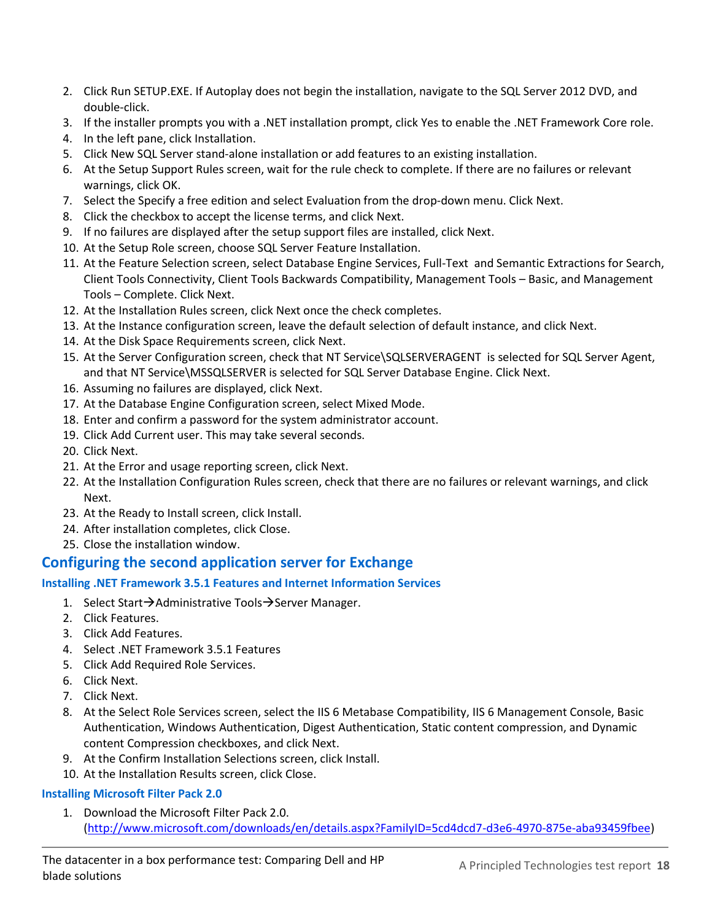- 2. Click Run SETUP.EXE. If Autoplay does not begin the installation, navigate to the SQL Server 2012 DVD, and double-click.
- 3. If the installer prompts you with a .NET installation prompt, click Yes to enable the .NET Framework Core role.
- 4. In the left pane, click Installation.
- 5. Click New SQL Server stand-alone installation or add features to an existing installation.
- 6. At the Setup Support Rules screen, wait for the rule check to complete. If there are no failures or relevant warnings, click OK.
- 7. Select the Specify a free edition and select Evaluation from the drop-down menu. Click Next.
- 8. Click the checkbox to accept the license terms, and click Next.
- 9. If no failures are displayed after the setup support files are installed, click Next.
- 10. At the Setup Role screen, choose SQL Server Feature Installation.
- 11. At the Feature Selection screen, select Database Engine Services, Full-Text and Semantic Extractions for Search, Client Tools Connectivity, Client Tools Backwards Compatibility, Management Tools – Basic, and Management Tools – Complete. Click Next.
- 12. At the Installation Rules screen, click Next once the check completes.
- 13. At the Instance configuration screen, leave the default selection of default instance, and click Next.
- 14. At the Disk Space Requirements screen, click Next.
- 15. At the Server Configuration screen, check that NT Service\SQLSERVERAGENT is selected for SQL Server Agent, and that NT Service\MSSQLSERVER is selected for SQL Server Database Engine. Click Next.
- 16. Assuming no failures are displayed, click Next.
- 17. At the Database Engine Configuration screen, select Mixed Mode.
- 18. Enter and confirm a password for the system administrator account.
- 19. Click Add Current user. This may take several seconds.
- 20. Click Next.
- 21. At the Error and usage reporting screen, click Next.
- 22. At the Installation Configuration Rules screen, check that there are no failures or relevant warnings, and click Next.
- 23. At the Ready to Install screen, click Install.
- 24. After installation completes, click Close.
- 25. Close the installation window.

### **Configuring the second application server for Exchange**

#### **Installing .NET Framework 3.5.1 Features and Internet Information Services**

- 1. Select Start $\rightarrow$ Administrative Tools $\rightarrow$ Server Manager.
- 2. Click Features.
- 3. Click Add Features.
- 4. Select .NET Framework 3.5.1 Features
- 5. Click Add Required Role Services.
- 6. Click Next.
- 7. Click Next.
- 8. At the Select Role Services screen, select the IIS 6 Metabase Compatibility, IIS 6 Management Console, Basic Authentication, Windows Authentication, Digest Authentication, Static content compression, and Dynamic content Compression checkboxes, and click Next.
- 9. At the Confirm Installation Selections screen, click Install.
- 10. At the Installation Results screen, click Close.

#### **Installing Microsoft Filter Pack 2.0**

1. Download the Microsoft Filter Pack 2.0. [\(http://www.microsoft.com/downloads/en/details.aspx?FamilyID=5cd4dcd7-d3e6-4970-875e-aba93459fbee\)](http://www.microsoft.com/downloads/en/details.aspx?FamilyID=5cd4dcd7-d3e6-4970-875e-aba93459fbee)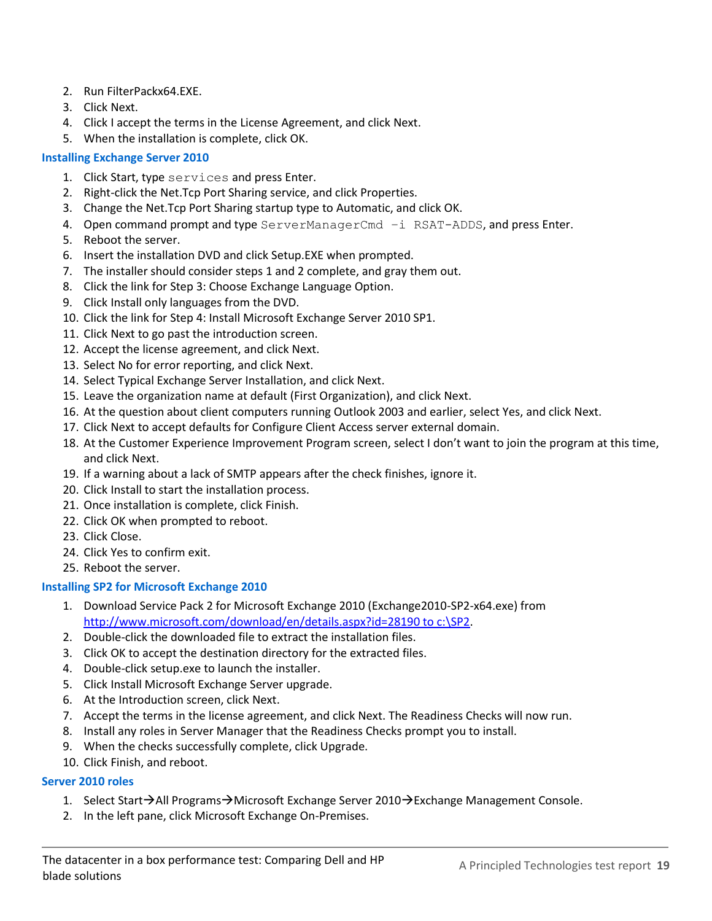- 2. Run FilterPackx64.EXE.
- 3. Click Next.
- 4. Click I accept the terms in the License Agreement, and click Next.
- 5. When the installation is complete, click OK.

#### **Installing Exchange Server 2010**

- 1. Click Start, type services and press Enter.
- 2. Right-click the Net.Tcp Port Sharing service, and click Properties.
- 3. Change the Net.Tcp Port Sharing startup type to Automatic, and click OK.
- 4. Open command prompt and type ServerManagerCmd -i RSAT-ADDS, and press Enter.
- 5. Reboot the server.
- 6. Insert the installation DVD and click Setup.EXE when prompted.
- 7. The installer should consider steps 1 and 2 complete, and gray them out.
- 8. Click the link for Step 3: Choose Exchange Language Option.
- 9. Click Install only languages from the DVD.
- 10. Click the link for Step 4: Install Microsoft Exchange Server 2010 SP1.
- 11. Click Next to go past the introduction screen.
- 12. Accept the license agreement, and click Next.
- 13. Select No for error reporting, and click Next.
- 14. Select Typical Exchange Server Installation, and click Next.
- 15. Leave the organization name at default (First Organization), and click Next.
- 16. At the question about client computers running Outlook 2003 and earlier, select Yes, and click Next.
- 17. Click Next to accept defaults for Configure Client Access server external domain.
- 18. At the Customer Experience Improvement Program screen, select I don't want to join the program at this time, and click Next.
- 19. If a warning about a lack of SMTP appears after the check finishes, ignore it.
- 20. Click Install to start the installation process.
- 21. Once installation is complete, click Finish.
- 22. Click OK when prompted to reboot.
- 23. Click Close.
- 24. Click Yes to confirm exit.
- 25. Reboot the server.

#### **Installing SP2 for Microsoft Exchange 2010**

- 1. Download Service Pack 2 for Microsoft Exchange 2010 (Exchange2010-SP2-x64.exe) from http://www.microsoft.com/download/en/details.aspx?id=28190 to c:\SP2.
- 2. Double-click the downloaded file to extract the installation files.
- 3. Click OK to accept the destination directory for the extracted files.
- 4. Double-click setup.exe to launch the installer.
- 5. Click Install Microsoft Exchange Server upgrade.
- 6. At the Introduction screen, click Next.
- 7. Accept the terms in the license agreement, and click Next. The Readiness Checks will now run.
- 8. Install any roles in Server Manager that the Readiness Checks prompt you to install.
- 9. When the checks successfully complete, click Upgrade.
- 10. Click Finish, and reboot.

#### **Server 2010 roles**

- 1. Select Start $\rightarrow$ All Programs $\rightarrow$ Microsoft Exchange Server 2010 $\rightarrow$ Exchange Management Console.
- 2. In the left pane, click Microsoft Exchange On-Premises.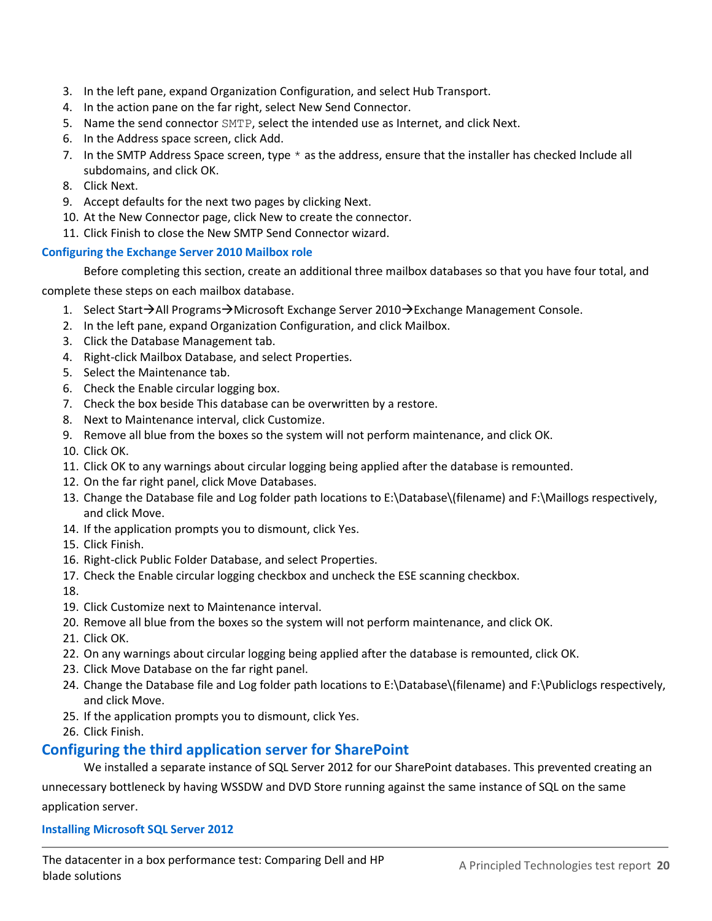- 3. In the left pane, expand Organization Configuration, and select Hub Transport.
- 4. In the action pane on the far right, select New Send Connector.
- 5. Name the send connector SMTP, select the intended use as Internet, and click Next.
- 6. In the Address space screen, click Add.
- 7. In the SMTP Address Space screen, type  $*$  as the address, ensure that the installer has checked Include all subdomains, and click OK.
- 8. Click Next.
- 9. Accept defaults for the next two pages by clicking Next.
- 10. At the New Connector page, click New to create the connector.
- 11. Click Finish to close the New SMTP Send Connector wizard.

#### **Configuring the Exchange Server 2010 Mailbox role**

Before completing this section, create an additional three mailbox databases so that you have four total, and complete these steps on each mailbox database.

- 1. Select Start $\rightarrow$ All Programs $\rightarrow$ Microsoft Exchange Server 2010 $\rightarrow$ Exchange Management Console.
- 2. In the left pane, expand Organization Configuration, and click Mailbox.
- 3. Click the Database Management tab.
- 4. Right-click Mailbox Database, and select Properties.
- 5. Select the Maintenance tab.
- 6. Check the Enable circular logging box.
- 7. Check the box beside This database can be overwritten by a restore.
- 8. Next to Maintenance interval, click Customize.
- 9. Remove all blue from the boxes so the system will not perform maintenance, and click OK.
- 10. Click OK.
- 11. Click OK to any warnings about circular logging being applied after the database is remounted.
- 12. On the far right panel, click Move Databases.
- 13. Change the Database file and Log folder path locations to E:\Database\(filename) and F:\Maillogs respectively, and click Move.
- 14. If the application prompts you to dismount, click Yes.
- 15. Click Finish.
- 16. Right-click Public Folder Database, and select Properties.
- 17. Check the Enable circular logging checkbox and uncheck the ESE scanning checkbox.
- 18.
- 19. Click Customize next to Maintenance interval.
- 20. Remove all blue from the boxes so the system will not perform maintenance, and click OK.
- 21. Click OK.
- 22. On any warnings about circular logging being applied after the database is remounted, click OK.
- 23. Click Move Database on the far right panel.
- 24. Change the Database file and Log folder path locations to E:\Database\(filename) and F:\Publiclogs respectively, and click Move.
- 25. If the application prompts you to dismount, click Yes.
- 26. Click Finish.

### **Configuring the third application server for SharePoint**

We installed a separate instance of SQL Server 2012 for our SharePoint databases. This prevented creating an

unnecessary bottleneck by having WSSDW and DVD Store running against the same instance of SQL on the same application server.

#### **Installing Microsoft SQL Server 2012**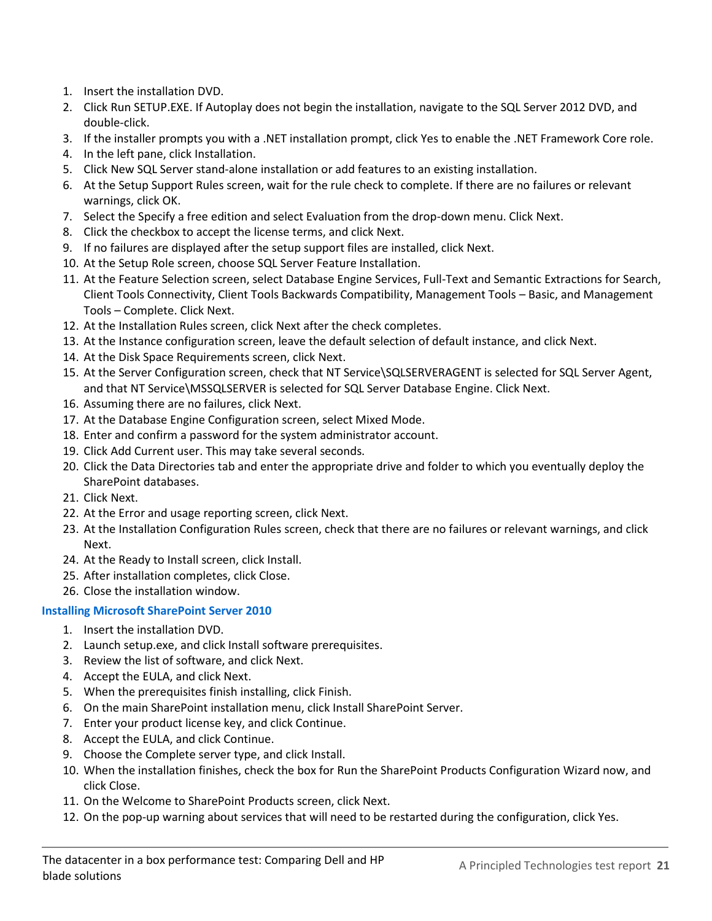- 1. Insert the installation DVD.
- 2. Click Run SETUP.EXE. If Autoplay does not begin the installation, navigate to the SQL Server 2012 DVD, and double-click.
- 3. If the installer prompts you with a .NET installation prompt, click Yes to enable the .NET Framework Core role.
- 4. In the left pane, click Installation.
- 5. Click New SQL Server stand-alone installation or add features to an existing installation.
- 6. At the Setup Support Rules screen, wait for the rule check to complete. If there are no failures or relevant warnings, click OK.
- 7. Select the Specify a free edition and select Evaluation from the drop-down menu. Click Next.
- 8. Click the checkbox to accept the license terms, and click Next.
- 9. If no failures are displayed after the setup support files are installed, click Next.
- 10. At the Setup Role screen, choose SQL Server Feature Installation.
- 11. At the Feature Selection screen, select Database Engine Services, Full-Text and Semantic Extractions for Search, Client Tools Connectivity, Client Tools Backwards Compatibility, Management Tools – Basic, and Management Tools – Complete. Click Next.
- 12. At the Installation Rules screen, click Next after the check completes.
- 13. At the Instance configuration screen, leave the default selection of default instance, and click Next.
- 14. At the Disk Space Requirements screen, click Next.
- 15. At the Server Configuration screen, check that NT Service\SQLSERVERAGENT is selected for SQL Server Agent, and that NT Service\MSSQLSERVER is selected for SQL Server Database Engine. Click Next.
- 16. Assuming there are no failures, click Next.
- 17. At the Database Engine Configuration screen, select Mixed Mode.
- 18. Enter and confirm a password for the system administrator account.
- 19. Click Add Current user. This may take several seconds.
- 20. Click the Data Directories tab and enter the appropriate drive and folder to which you eventually deploy the SharePoint databases.
- 21. Click Next.
- 22. At the Error and usage reporting screen, click Next.
- 23. At the Installation Configuration Rules screen, check that there are no failures or relevant warnings, and click Next.
- 24. At the Ready to Install screen, click Install.
- 25. After installation completes, click Close.
- 26. Close the installation window.

### **Installing Microsoft SharePoint Server 2010**

- 1. Insert the installation DVD.
- 2. Launch setup.exe, and click Install software prerequisites.
- 3. Review the list of software, and click Next.
- 4. Accept the EULA, and click Next.
- 5. When the prerequisites finish installing, click Finish.
- 6. On the main SharePoint installation menu, click Install SharePoint Server.
- 7. Enter your product license key, and click Continue.
- 8. Accept the EULA, and click Continue.
- 9. Choose the Complete server type, and click Install.
- 10. When the installation finishes, check the box for Run the SharePoint Products Configuration Wizard now, and click Close.
- 11. On the Welcome to SharePoint Products screen, click Next.
- 12. On the pop-up warning about services that will need to be restarted during the configuration, click Yes.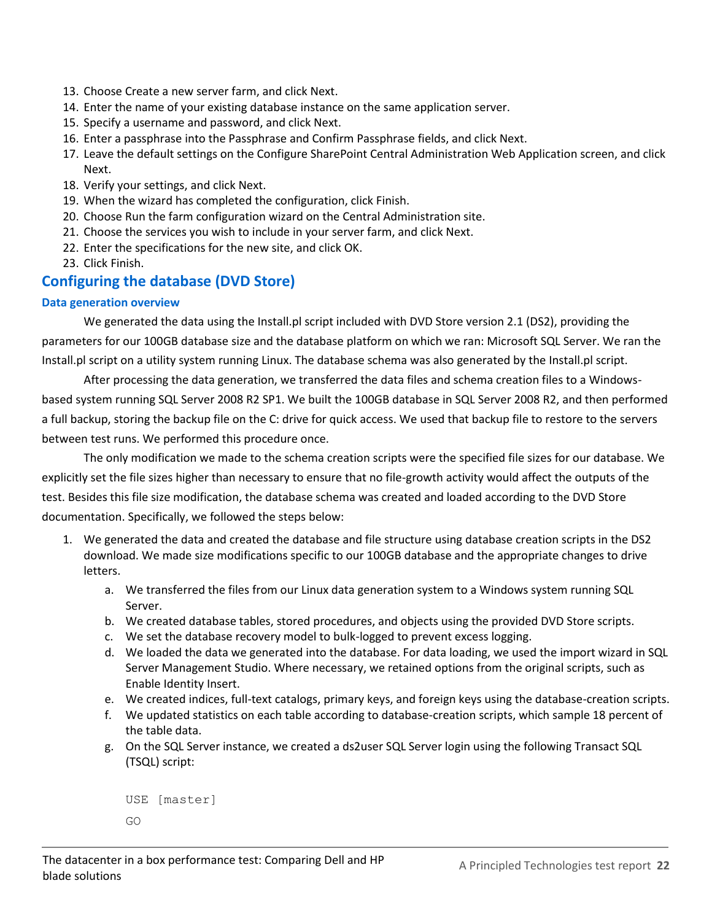- 13. Choose Create a new server farm, and click Next.
- 14. Enter the name of your existing database instance on the same application server.
- 15. Specify a username and password, and click Next.
- 16. Enter a passphrase into the Passphrase and Confirm Passphrase fields, and click Next.
- 17. Leave the default settings on the Configure SharePoint Central Administration Web Application screen, and click Next.
- 18. Verify your settings, and click Next.
- 19. When the wizard has completed the configuration, click Finish.
- 20. Choose Run the farm configuration wizard on the Central Administration site.
- 21. Choose the services you wish to include in your server farm, and click Next.
- 22. Enter the specifications for the new site, and click OK.
- 23. Click Finish.

### **Configuring the database (DVD Store)**

#### **Data generation overview**

We generated the data using the Install.pl script included with DVD Store version 2.1 (DS2), providing the parameters for our 100GB database size and the database platform on which we ran: Microsoft SQL Server. We ran the Install.pl script on a utility system running Linux. The database schema was also generated by the Install.pl script.

After processing the data generation, we transferred the data files and schema creation files to a Windowsbased system running SQL Server 2008 R2 SP1. We built the 100GB database in SQL Server 2008 R2, and then performed a full backup, storing the backup file on the C: drive for quick access. We used that backup file to restore to the servers between test runs. We performed this procedure once.

The only modification we made to the schema creation scripts were the specified file sizes for our database. We explicitly set the file sizes higher than necessary to ensure that no file-growth activity would affect the outputs of the test. Besides this file size modification, the database schema was created and loaded according to the DVD Store documentation. Specifically, we followed the steps below:

- 1. We generated the data and created the database and file structure using database creation scripts in the DS2 download. We made size modifications specific to our 100GB database and the appropriate changes to drive letters.
	- a. We transferred the files from our Linux data generation system to a Windows system running SQL Server.
	- b. We created database tables, stored procedures, and objects using the provided DVD Store scripts.
	- c. We set the database recovery model to bulk-logged to prevent excess logging.
	- d. We loaded the data we generated into the database. For data loading, we used the import wizard in SQL Server Management Studio. Where necessary, we retained options from the original scripts, such as Enable Identity Insert.
	- e. We created indices, full-text catalogs, primary keys, and foreign keys using the database-creation scripts.
	- f. We updated statistics on each table according to database-creation scripts, which sample 18 percent of the table data.
	- g. On the SQL Server instance, we created a ds2user SQL Server login using the following Transact SQL (TSQL) script:

```
USE [master]
GO
```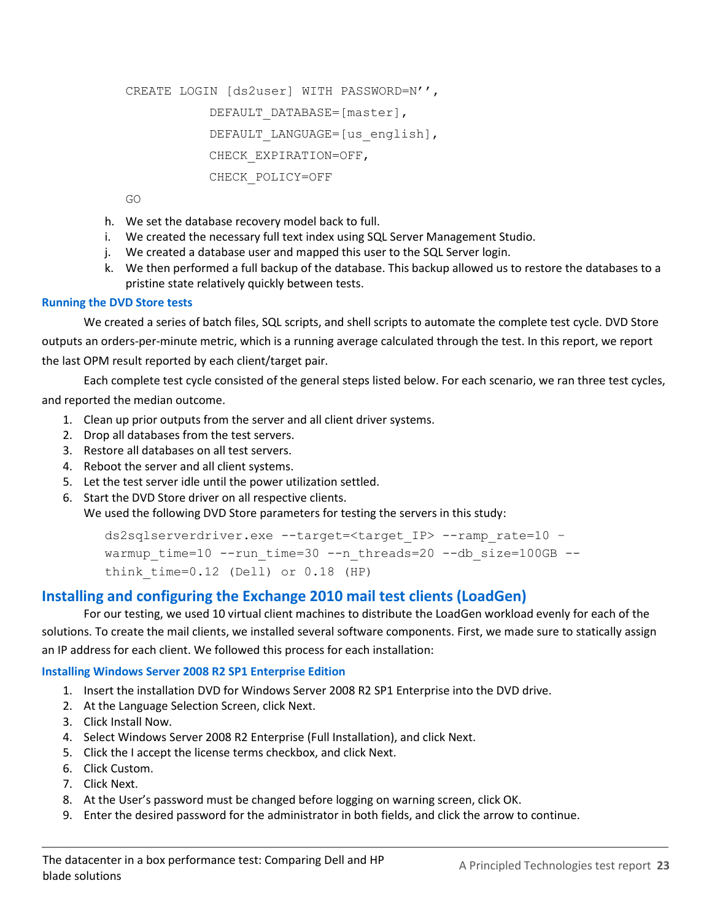```
CREATE LOGIN [ds2user] WITH PASSWORD=N'',
           DEFAULT_DATABASE=[master],
           DEFAULT LANGUAGE=[us english],
           CHECK_EXPIRATION=OFF,
           CHECK_POLICY=OFF
```
GO

- h. We set the database recovery model back to full.
- i. We created the necessary full text index using SQL Server Management Studio.
- j. We created a database user and mapped this user to the SQL Server login.
- k. We then performed a full backup of the database. This backup allowed us to restore the databases to a pristine state relatively quickly between tests.

#### **Running the DVD Store tests**

We created a series of batch files, SQL scripts, and shell scripts to automate the complete test cycle. DVD Store outputs an orders-per-minute metric, which is a running average calculated through the test. In this report, we report the last OPM result reported by each client/target pair.

Each complete test cycle consisted of the general steps listed below. For each scenario, we ran three test cycles, and reported the median outcome.

- 1. Clean up prior outputs from the server and all client driver systems.
- 2. Drop all databases from the test servers.
- 3. Restore all databases on all test servers.
- 4. Reboot the server and all client systems.
- 5. Let the test server idle until the power utilization settled.
- 6. Start the DVD Store driver on all respective clients.

We used the following DVD Store parameters for testing the servers in this study:

ds2sqlserverdriver.exe --target=<target\_IP> --ramp\_rate=10 – warmup time=10 --run time=30 --n threads=20 --db size=100GB -think time= $0.12$  (Dell) or  $0.18$  (HP)

### **Installing and configuring the Exchange 2010 mail test clients (LoadGen)**

For our testing, we used 10 virtual client machines to distribute the LoadGen workload evenly for each of the solutions. To create the mail clients, we installed several software components. First, we made sure to statically assign an IP address for each client. We followed this process for each installation:

#### **Installing Windows Server 2008 R2 SP1 Enterprise Edition**

- 1. Insert the installation DVD for Windows Server 2008 R2 SP1 Enterprise into the DVD drive.
- 2. At the Language Selection Screen, click Next.
- 3. Click Install Now.
- 4. Select Windows Server 2008 R2 Enterprise (Full Installation), and click Next.
- 5. Click the I accept the license terms checkbox, and click Next.
- 6. Click Custom.
- 7. Click Next.
- 8. At the User's password must be changed before logging on warning screen, click OK.
- 9. Enter the desired password for the administrator in both fields, and click the arrow to continue.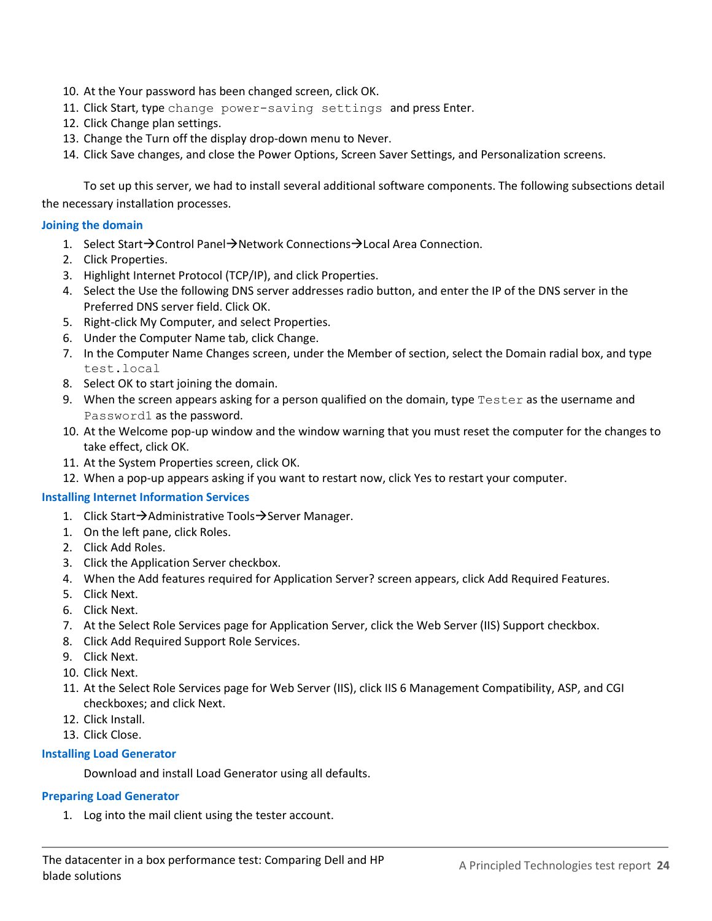- 10. At the Your password has been changed screen, click OK.
- 11. Click Start, type change power-saving settings and press Enter.
- 12. Click Change plan settings.
- 13. Change the Turn off the display drop-down menu to Never.
- 14. Click Save changes, and close the Power Options, Screen Saver Settings, and Personalization screens.

To set up this server, we had to install several additional software components. The following subsections detail the necessary installation processes.

#### **Joining the domain**

- 1. Select Start $\rightarrow$ Control Panel $\rightarrow$ Network Connections $\rightarrow$ Local Area Connection.
- 2. Click Properties.
- 3. Highlight Internet Protocol (TCP/IP), and click Properties.
- 4. Select the Use the following DNS server addresses radio button, and enter the IP of the DNS server in the Preferred DNS server field. Click OK.
- 5. Right-click My Computer, and select Properties.
- 6. Under the Computer Name tab, click Change.
- 7. In the Computer Name Changes screen, under the Member of section, select the Domain radial box, and type test.local
- 8. Select OK to start joining the domain.
- 9. When the screen appears asking for a person qualified on the domain, type Tester as the username and Password1 as the password.
- 10. At the Welcome pop-up window and the window warning that you must reset the computer for the changes to take effect, click OK.
- 11. At the System Properties screen, click OK.
- 12. When a pop-up appears asking if you want to restart now, click Yes to restart your computer.

#### **Installing Internet Information Services**

- 1. Click Start $\rightarrow$ Administrative Tools $\rightarrow$ Server Manager.
- 1. On the left pane, click Roles.
- 2. Click Add Roles.
- 3. Click the Application Server checkbox.
- 4. When the Add features required for Application Server? screen appears, click Add Required Features.
- 5. Click Next.
- 6. Click Next.
- 7. At the Select Role Services page for Application Server, click the Web Server (IIS) Support checkbox.
- 8. Click Add Required Support Role Services.
- 9. Click Next.
- 10. Click Next.
- 11. At the Select Role Services page for Web Server (IIS), click IIS 6 Management Compatibility, ASP, and CGI checkboxes; and click Next.
- 12. Click Install.
- 13. Click Close.

#### **Installing Load Generator**

Download and install Load Generator using all defaults.

#### **Preparing Load Generator**

1. Log into the mail client using the tester account.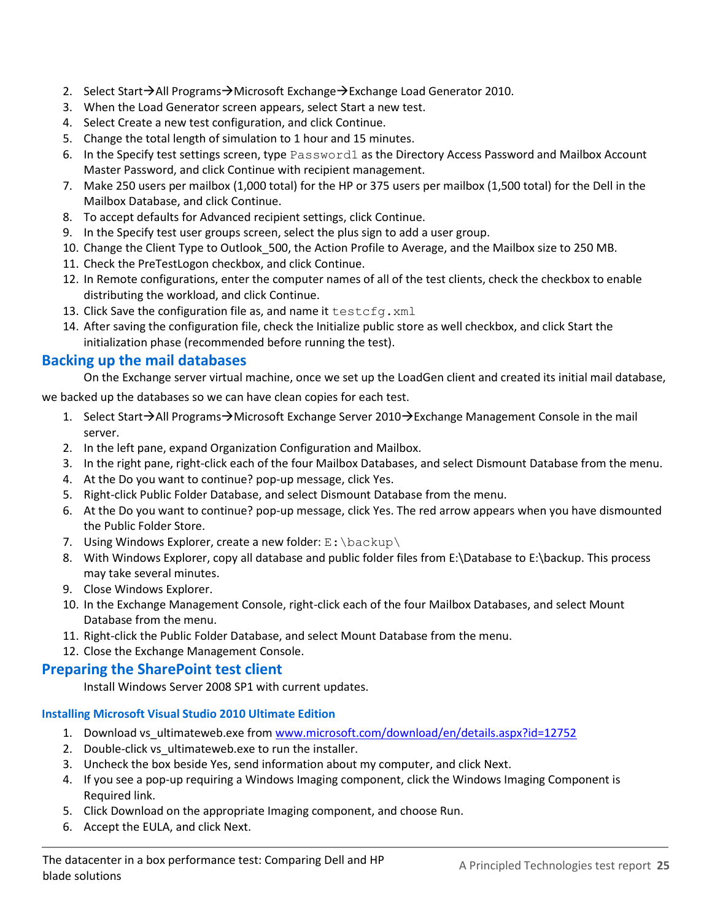- 2. Select Start $\rightarrow$ All Programs $\rightarrow$ Microsoft Exchange $\rightarrow$ Exchange Load Generator 2010.
- 3. When the Load Generator screen appears, select Start a new test.
- 4. Select Create a new test configuration, and click Continue.
- 5. Change the total length of simulation to 1 hour and 15 minutes.
- 6. In the Specify test settings screen, type Password1 as the Directory Access Password and Mailbox Account Master Password, and click Continue with recipient management.
- 7. Make 250 users per mailbox (1,000 total) for the HP or 375 users per mailbox (1,500 total) for the Dell in the Mailbox Database, and click Continue.
- 8. To accept defaults for Advanced recipient settings, click Continue.
- 9. In the Specify test user groups screen, select the plus sign to add a user group.
- 10. Change the Client Type to Outlook 500, the Action Profile to Average, and the Mailbox size to 250 MB.
- 11. Check the PreTestLogon checkbox, and click Continue.
- 12. In Remote configurations, enter the computer names of all of the test clients, check the checkbox to enable distributing the workload, and click Continue.
- 13. Click Save the configuration file as, and name it testcfg. xml
- 14. After saving the configuration file, check the Initialize public store as well checkbox, and click Start the initialization phase (recommended before running the test).

### **Backing up the mail databases**

On the Exchange server virtual machine, once we set up the LoadGen client and created its initial mail database,

we backed up the databases so we can have clean copies for each test.

- 1. Select Start $\rightarrow$ All Programs $\rightarrow$ Microsoft Exchange Server 2010 $\rightarrow$ Exchange Management Console in the mail server.
- 2. In the left pane, expand Organization Configuration and Mailbox.
- 3. In the right pane, right-click each of the four Mailbox Databases, and select Dismount Database from the menu.
- 4. At the Do you want to continue? pop-up message, click Yes.
- 5. Right-click Public Folder Database, and select Dismount Database from the menu.
- 6. At the Do you want to continue? pop-up message, click Yes. The red arrow appears when you have dismounted the Public Folder Store.
- 7. Using Windows Explorer, create a new folder:  $E:\\backslash$  backup $\backslash$
- 8. With Windows Explorer, copy all database and public folder files from E:\Database to E:\backup. This process may take several minutes.
- 9. Close Windows Explorer.
- 10. In the Exchange Management Console, right-click each of the four Mailbox Databases, and select Mount Database from the menu.
- 11. Right-click the Public Folder Database, and select Mount Database from the menu.
- 12. Close the Exchange Management Console.

### **Preparing the SharePoint test client**

Install Windows Server 2008 SP1 with current updates.

### **Installing Microsoft Visual Studio 2010 Ultimate Edition**

- 1. Download vs\_ultimateweb.exe from [www.microsoft.com/download/en/details.aspx?id=12752](http://www.microsoft.com/download/en/details.aspx?id=12752)
- 2. Double-click vs\_ultimateweb.exe to run the installer.
- 3. Uncheck the box beside Yes, send information about my computer, and click Next.
- 4. If you see a pop-up requiring a Windows Imaging component, click the Windows Imaging Component is Required link.
- 5. Click Download on the appropriate Imaging component, and choose Run.
- 6. Accept the EULA, and click Next.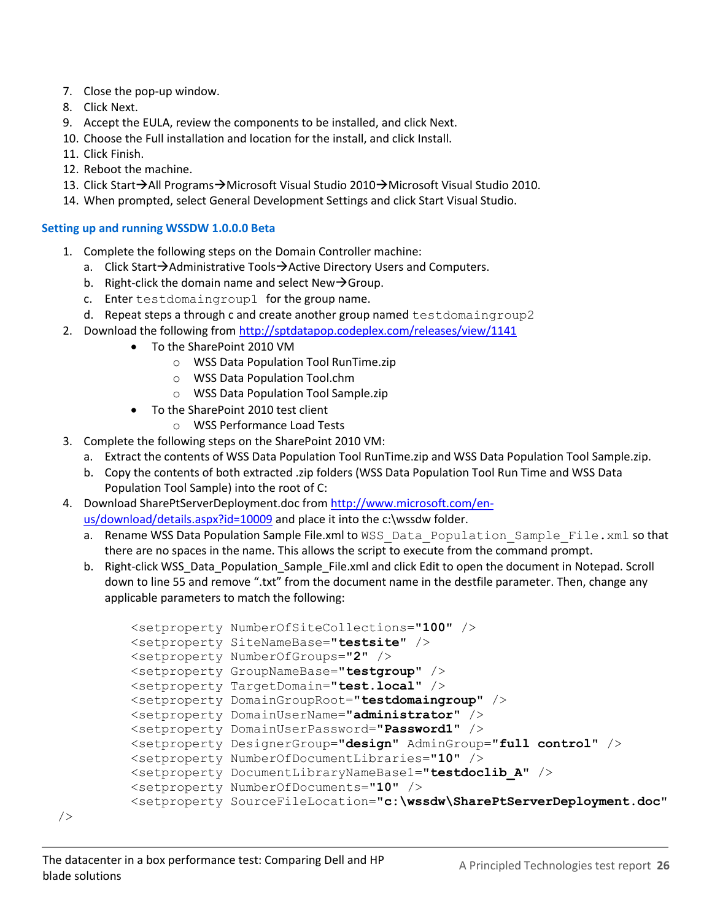- 7. Close the pop-up window.
- 8. Click Next.
- 9. Accept the EULA, review the components to be installed, and click Next.
- 10. Choose the Full installation and location for the install, and click Install.
- 11. Click Finish.
- 12. Reboot the machine.
- 13. Click Start→All Programs→Microsoft Visual Studio 2010→Microsoft Visual Studio 2010.
- 14. When prompted, select General Development Settings and click Start Visual Studio.

#### **Setting up and running WSSDW 1.0.0.0 Beta**

- 1. Complete the following steps on the Domain Controller machine:
	- a. Click Start $\rightarrow$ Administrative Tools $\rightarrow$ Active Directory Users and Computers.
	- b. Right-click the domain name and select New $\rightarrow$ Group.
	- c. Enter testdomaingroup1 for the group name.
	- d. Repeat steps a through c and create another group named testdomaingroup2
- 2. Download the following fro[m http://sptdatapop.codeplex.com/releases/view/1141](http://sptdatapop.codeplex.com/releases/view/1141)
	- To the SharePoint 2010 VM
		- o WSS Data Population Tool RunTime.zip
		- o WSS Data Population Tool.chm
		- o WSS Data Population Tool Sample.zip
	- To the SharePoint 2010 test client
		- o WSS Performance Load Tests
- 3. Complete the following steps on the SharePoint 2010 VM:
	- a. Extract the contents of WSS Data Population Tool RunTime.zip and WSS Data Population Tool Sample.zip.
	- b. Copy the contents of both extracted .zip folders (WSS Data Population Tool Run Time and WSS Data Population Tool Sample) into the root of C:
- 4. Download SharePtServerDeployment.doc from [http://www.microsoft.com/en](http://www.microsoft.com/en-us/download/details.aspx?id=10009)[us/download/details.aspx?id=10009](http://www.microsoft.com/en-us/download/details.aspx?id=10009) and place it into the c:\wssdw folder.
	- a. Rename WSS Data Population Sample File.xml to WSS Data Population Sample File.xml so that there are no spaces in the name. This allows the script to execute from the command prompt.
	- b. Right-click WSS Data Population Sample File.xml and click Edit to open the document in Notepad. Scroll down to line 55 and remove ".txt" from the document name in the destfile parameter. Then, change any applicable parameters to match the following:

```
<setproperty NumberOfSiteCollections="100" /> 
<setproperty SiteNameBase="testsite" /> 
<setproperty NumberOfGroups="2" /> 
<setproperty GroupNameBase="testgroup" /> 
<setproperty TargetDomain="test.local" /> 
<setproperty DomainGroupRoot="testdomaingroup" /> 
<setproperty DomainUserName="administrator" /> 
<setproperty DomainUserPassword="Password1" /> 
<setproperty DesignerGroup="design" AdminGroup="full control" /> 
<setproperty NumberOfDocumentLibraries="10" /> 
<setproperty DocumentLibraryNameBase1="testdoclib_A" /> 
<setproperty NumberOfDocuments="10" /> 
<setproperty SourceFileLocation="c:\wssdw\SharePtServerDeployment.doc"
```
/>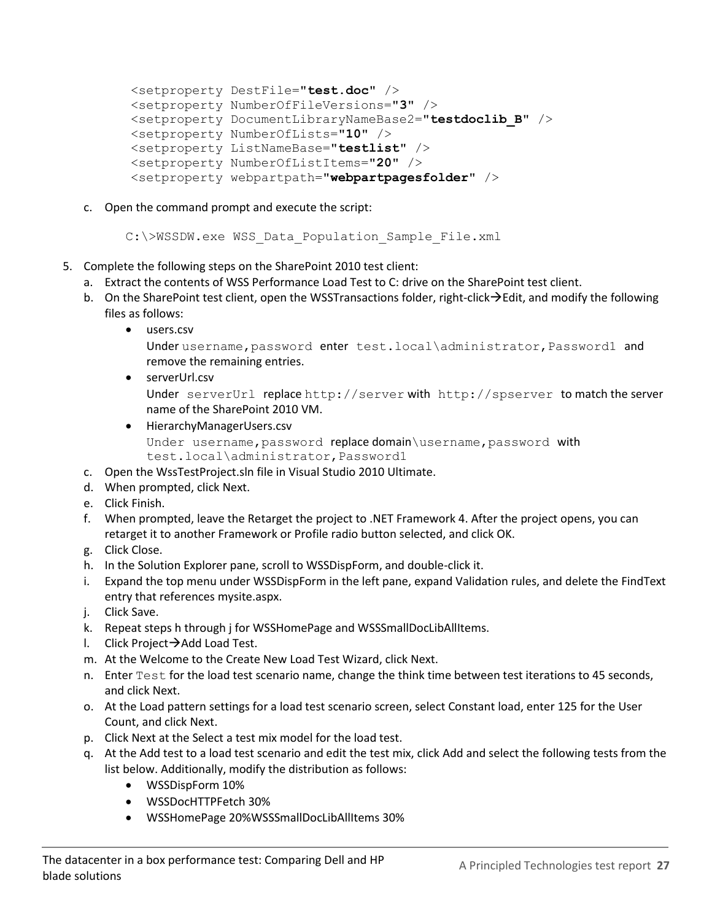```
<setproperty DestFile="test.doc" /> 
<setproperty NumberOfFileVersions="3" /> 
<setproperty DocumentLibraryNameBase2="testdoclib_B" /> 
<setproperty NumberOfLists="10" /> 
<setproperty ListNameBase="testlist" /> 
<setproperty NumberOfListItems="20" /> 
<setproperty webpartpath="webpartpagesfolder" />
```
c. Open the command prompt and execute the script:

```
C:\>WSSDW.exe WSS Data Population Sample File.xml
```
- 5. Complete the following steps on the SharePoint 2010 test client:
	- a. Extract the contents of WSS Performance Load Test to C: drive on the SharePoint test client.
	- b. On the SharePoint test client, open the WSSTransactions folder, right-click $\rightarrow$ Edit, and modify the following files as follows:
		- users.csv

```
Under username, password enter test.local\administrator, Password1 and
remove the remaining entries.
```
- serverUrl.csv Under serverUrl replace http://server with http://spserver to match the server name of the SharePoint 2010 VM.
- HierarchyManagerUsers.csv Under username, password replace domain \username, password with test.local\administrator,Password1
- c. Open the WssTestProject.sln file in Visual Studio 2010 Ultimate.
- d. When prompted, click Next.
- e. Click Finish.
- f. When prompted, leave the Retarget the project to .NET Framework 4. After the project opens, you can retarget it to another Framework or Profile radio button selected, and click OK.
- g. Click Close.
- h. In the Solution Explorer pane, scroll to WSSDispForm, and double-click it.
- i. Expand the top menu under WSSDispForm in the left pane, expand Validation rules, and delete the FindText entry that references mysite.aspx.
- j. Click Save.
- k. Repeat steps h through j for WSSHomePage and WSSSmallDocLibAllItems.
- l. Click Project $\rightarrow$  Add Load Test.
- m. At the Welcome to the Create New Load Test Wizard, click Next.
- n. Enter Test for the load test scenario name, change the think time between test iterations to 45 seconds, and click Next.
- o. At the Load pattern settings for a load test scenario screen, select Constant load, enter 125 for the User Count, and click Next.
- p. Click Next at the Select a test mix model for the load test.
- q. At the Add test to a load test scenario and edit the test mix, click Add and select the following tests from the list below. Additionally, modify the distribution as follows:
	- WSSDispForm 10%
	- WSSDocHTTPFetch 30%
	- WSSHomePage 20%WSSSmallDocLibAllItems 30%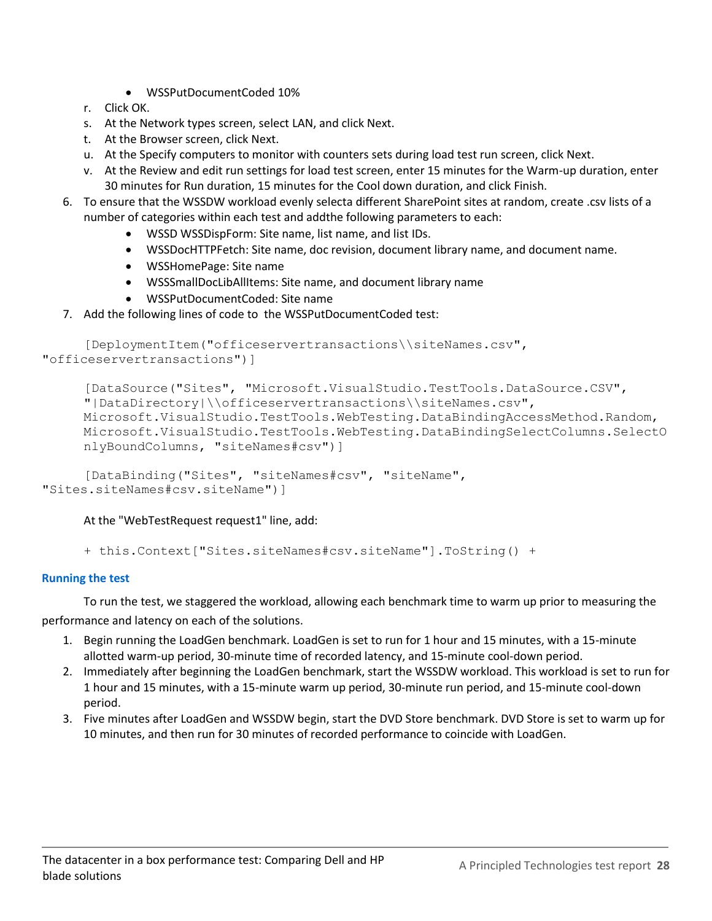- WSSPutDocumentCoded 10%
- r. Click OK.
- s. At the Network types screen, select LAN, and click Next.
- t. At the Browser screen, click Next.
- u. At the Specify computers to monitor with counters sets during load test run screen, click Next.
- v. At the Review and edit run settings for load test screen, enter 15 minutes for the Warm-up duration, enter 30 minutes for Run duration, 15 minutes for the Cool down duration, and click Finish.
- 6. To ensure that the WSSDW workload evenly selecta different SharePoint sites at random, create .csv lists of a number of categories within each test and addthe following parameters to each:
	- WSSD WSSDispForm: Site name, list name, and list IDs.
	- WSSDocHTTPFetch: Site name, doc revision, document library name, and document name.
	- WSSHomePage: Site name
	- WSSSmallDocLibAllItems: Site name, and document library name
	- WSSPutDocumentCoded: Site name
- 7. Add the following lines of code to the WSSPutDocumentCoded test:

```
[DeploymentItem("officeservertransactions\\siteNames.csv", 
"officeservertransactions")]
```

```
[DataSource("Sites", "Microsoft.VisualStudio.TestTools.DataSource.CSV", 
"|DataDirectory|\\officeservertransactions\\siteNames.csv", 
Microsoft.VisualStudio.TestTools.WebTesting.DataBindingAccessMethod.Random, 
Microsoft.VisualStudio.TestTools.WebTesting.DataBindingSelectColumns.SelectO
nlyBoundColumns, "siteNames#csv")]
```
[DataBinding("Sites", "siteNames#csv", "siteName", "Sites.siteNames#csv.siteName")]

At the "WebTestRequest request1" line, add:

+ this.Context["Sites.siteNames#csv.siteName"].ToString() +

#### **Running the test**

To run the test, we staggered the workload, allowing each benchmark time to warm up prior to measuring the performance and latency on each of the solutions.

- 1. Begin running the LoadGen benchmark. LoadGen is set to run for 1 hour and 15 minutes, with a 15-minute allotted warm-up period, 30-minute time of recorded latency, and 15-minute cool-down period.
- 2. Immediately after beginning the LoadGen benchmark, start the WSSDW workload. This workload is set to run for 1 hour and 15 minutes, with a 15-minute warm up period, 30-minute run period, and 15-minute cool-down period.
- 3. Five minutes after LoadGen and WSSDW begin, start the DVD Store benchmark. DVD Store is set to warm up for 10 minutes, and then run for 30 minutes of recorded performance to coincide with LoadGen.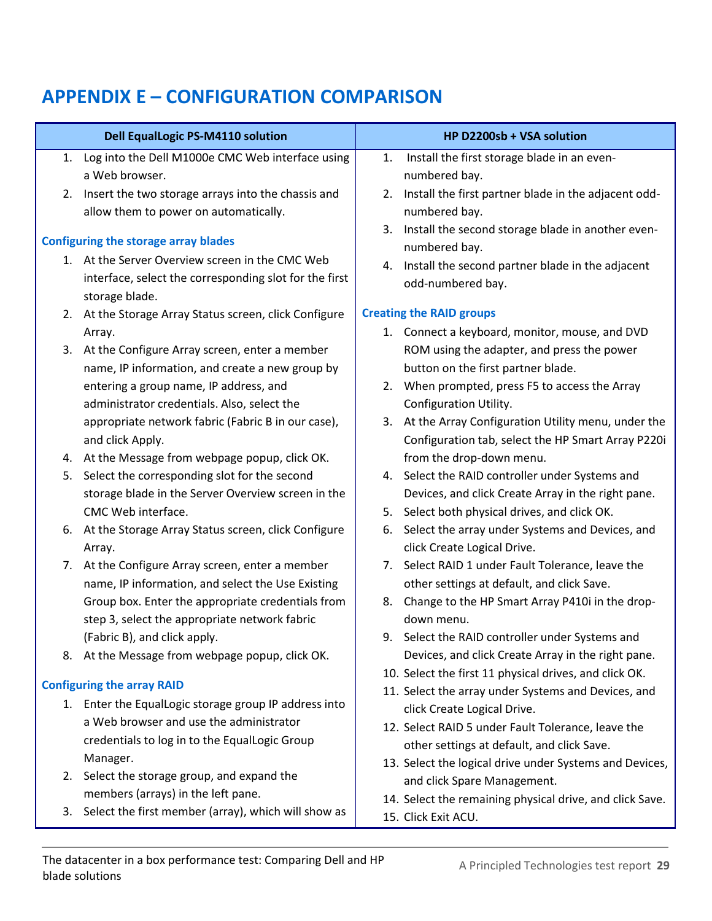# <span id="page-28-0"></span>**APPENDIX E – CONFIGURATION COMPARISON**

|    | <b>Dell EqualLogic PS-M4110 solution</b>               |    | HP D2200sb + VSA solution                                |
|----|--------------------------------------------------------|----|----------------------------------------------------------|
|    | 1. Log into the Dell M1000e CMC Web interface using    | 1. | Install the first storage blade in an even-              |
|    | a Web browser.                                         |    | numbered bay.                                            |
|    | 2. Insert the two storage arrays into the chassis and  |    | 2. Install the first partner blade in the adjacent odd-  |
|    | allow them to power on automatically.                  |    | numbered bay.                                            |
|    |                                                        |    | 3. Install the second storage blade in another even-     |
|    | <b>Configuring the storage array blades</b>            |    | numbered bay.                                            |
| 1. | At the Server Overview screen in the CMC Web           |    | 4. Install the second partner blade in the adjacent      |
|    | interface, select the corresponding slot for the first |    | odd-numbered bay.                                        |
|    | storage blade.                                         |    |                                                          |
|    | 2. At the Storage Array Status screen, click Configure |    | <b>Creating the RAID groups</b>                          |
|    | Array.                                                 |    | 1. Connect a keyboard, monitor, mouse, and DVD           |
| 3. | At the Configure Array screen, enter a member          |    | ROM using the adapter, and press the power               |
|    | name, IP information, and create a new group by        |    | button on the first partner blade.                       |
|    | entering a group name, IP address, and                 |    | 2. When prompted, press F5 to access the Array           |
|    | administrator credentials. Also, select the            |    | Configuration Utility.                                   |
|    | appropriate network fabric (Fabric B in our case),     |    | 3. At the Array Configuration Utility menu, under the    |
|    | and click Apply.                                       |    | Configuration tab, select the HP Smart Array P220i       |
|    | 4. At the Message from webpage popup, click OK.        |    | from the drop-down menu.                                 |
| 5. | Select the corresponding slot for the second           |    | 4. Select the RAID controller under Systems and          |
|    | storage blade in the Server Overview screen in the     |    | Devices, and click Create Array in the right pane.       |
|    | CMC Web interface.                                     |    | 5. Select both physical drives, and click OK.            |
| 6. | At the Storage Array Status screen, click Configure    | 6. | Select the array under Systems and Devices, and          |
|    | Array.                                                 |    | click Create Logical Drive.                              |
|    | 7. At the Configure Array screen, enter a member       |    | 7. Select RAID 1 under Fault Tolerance, leave the        |
|    | name, IP information, and select the Use Existing      |    | other settings at default, and click Save.               |
|    | Group box. Enter the appropriate credentials from      | 8. | Change to the HP Smart Array P410i in the drop-          |
|    | step 3, select the appropriate network fabric          |    | down menu.                                               |
|    | (Fabric B), and click apply.                           |    | 9. Select the RAID controller under Systems and          |
|    | 8. At the Message from webpage popup, click OK.        |    | Devices, and click Create Array in the right pane.       |
|    | <b>Configuring the array RAID</b>                      |    | 10. Select the first 11 physical drives, and click OK.   |
|    |                                                        |    | 11. Select the array under Systems and Devices, and      |
|    | 1. Enter the EqualLogic storage group IP address into  |    | click Create Logical Drive.                              |
|    | a Web browser and use the administrator                |    | 12. Select RAID 5 under Fault Tolerance, leave the       |
|    | credentials to log in to the EqualLogic Group          |    | other settings at default, and click Save.               |
|    | Manager.                                               |    | 13. Select the logical drive under Systems and Devices,  |
|    | 2. Select the storage group, and expand the            |    | and click Spare Management.                              |
|    | members (arrays) in the left pane.                     |    | 14. Select the remaining physical drive, and click Save. |
| 3. | Select the first member (array), which will show as    |    | 15. Click Exit ACU.                                      |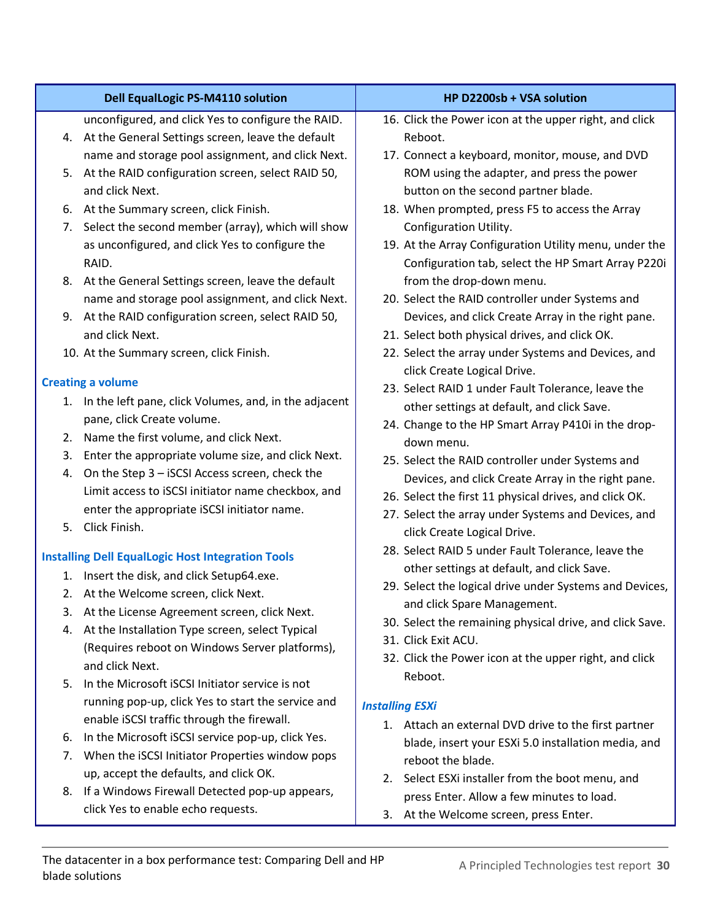| <b>Dell EqualLogic PS-M4110 solution</b>                                                                                                                                                                                                                                                                                                                                                     | HP D2200sb + VSA solution                                                                                                                                                                                                                                                                    |
|----------------------------------------------------------------------------------------------------------------------------------------------------------------------------------------------------------------------------------------------------------------------------------------------------------------------------------------------------------------------------------------------|----------------------------------------------------------------------------------------------------------------------------------------------------------------------------------------------------------------------------------------------------------------------------------------------|
| unconfigured, and click Yes to configure the RAID.<br>4. At the General Settings screen, leave the default<br>name and storage pool assignment, and click Next.                                                                                                                                                                                                                              | 16. Click the Power icon at the upper right, and click<br>Reboot.<br>17. Connect a keyboard, monitor, mouse, and DVD                                                                                                                                                                         |
| At the RAID configuration screen, select RAID 50,<br>5.<br>and click Next.                                                                                                                                                                                                                                                                                                                   | ROM using the adapter, and press the power<br>button on the second partner blade.                                                                                                                                                                                                            |
| At the Summary screen, click Finish.<br>6.<br>Select the second member (array), which will show<br>7.<br>as unconfigured, and click Yes to configure the<br>RAID.                                                                                                                                                                                                                            | 18. When prompted, press F5 to access the Array<br>Configuration Utility.<br>19. At the Array Configuration Utility menu, under the<br>Configuration tab, select the HP Smart Array P220i                                                                                                    |
| 8. At the General Settings screen, leave the default<br>name and storage pool assignment, and click Next.                                                                                                                                                                                                                                                                                    | from the drop-down menu.<br>20. Select the RAID controller under Systems and                                                                                                                                                                                                                 |
| 9. At the RAID configuration screen, select RAID 50,<br>and click Next.                                                                                                                                                                                                                                                                                                                      | Devices, and click Create Array in the right pane.<br>21. Select both physical drives, and click OK.                                                                                                                                                                                         |
| 10. At the Summary screen, click Finish.<br><b>Creating a volume</b>                                                                                                                                                                                                                                                                                                                         | 22. Select the array under Systems and Devices, and<br>click Create Logical Drive.                                                                                                                                                                                                           |
| 1. In the left pane, click Volumes, and, in the adjacent<br>pane, click Create volume.                                                                                                                                                                                                                                                                                                       | 23. Select RAID 1 under Fault Tolerance, leave the<br>other settings at default, and click Save.<br>24. Change to the HP Smart Array P410i in the drop-                                                                                                                                      |
| Name the first volume, and click Next.<br>2.<br>Enter the appropriate volume size, and click Next.<br>3.<br>On the Step 3 - iSCSI Access screen, check the<br>4.<br>Limit access to iSCSI initiator name checkbox, and<br>enter the appropriate iSCSI initiator name.                                                                                                                        | down menu.<br>25. Select the RAID controller under Systems and<br>Devices, and click Create Array in the right pane.<br>26. Select the first 11 physical drives, and click OK.<br>27. Select the array under Systems and Devices, and                                                        |
| Click Finish.<br>5.                                                                                                                                                                                                                                                                                                                                                                          | click Create Logical Drive.<br>28. Select RAID 5 under Fault Tolerance, leave the                                                                                                                                                                                                            |
| <b>Installing Dell EqualLogic Host Integration Tools</b><br>1. Insert the disk, and click Setup64.exe.<br>2. At the Welcome screen, click Next.<br>At the License Agreement screen, click Next.<br>3.<br>At the Installation Type screen, select Typical<br>4.<br>(Requires reboot on Windows Server platforms),<br>and click Next.<br>In the Microsoft iSCSI Initiator service is not<br>5. | other settings at default, and click Save.<br>29. Select the logical drive under Systems and Devices,<br>and click Spare Management.<br>30. Select the remaining physical drive, and click Save.<br>31. Click Exit ACU.<br>32. Click the Power icon at the upper right, and click<br>Reboot. |
| running pop-up, click Yes to start the service and<br>enable iSCSI traffic through the firewall.                                                                                                                                                                                                                                                                                             | <b>Installing ESXi</b>                                                                                                                                                                                                                                                                       |
| In the Microsoft iSCSI service pop-up, click Yes.<br>6.<br>When the iSCSI Initiator Properties window pops<br>7.                                                                                                                                                                                                                                                                             | 1. Attach an external DVD drive to the first partner<br>blade, insert your ESXi 5.0 installation media, and<br>reboot the blade.                                                                                                                                                             |
| up, accept the defaults, and click OK.<br>If a Windows Firewall Detected pop-up appears,<br>8.<br>click Yes to enable echo requests.                                                                                                                                                                                                                                                         | 2. Select ESXi installer from the boot menu, and<br>press Enter. Allow a few minutes to load.<br>3. At the Welcome screen, press Enter.                                                                                                                                                      |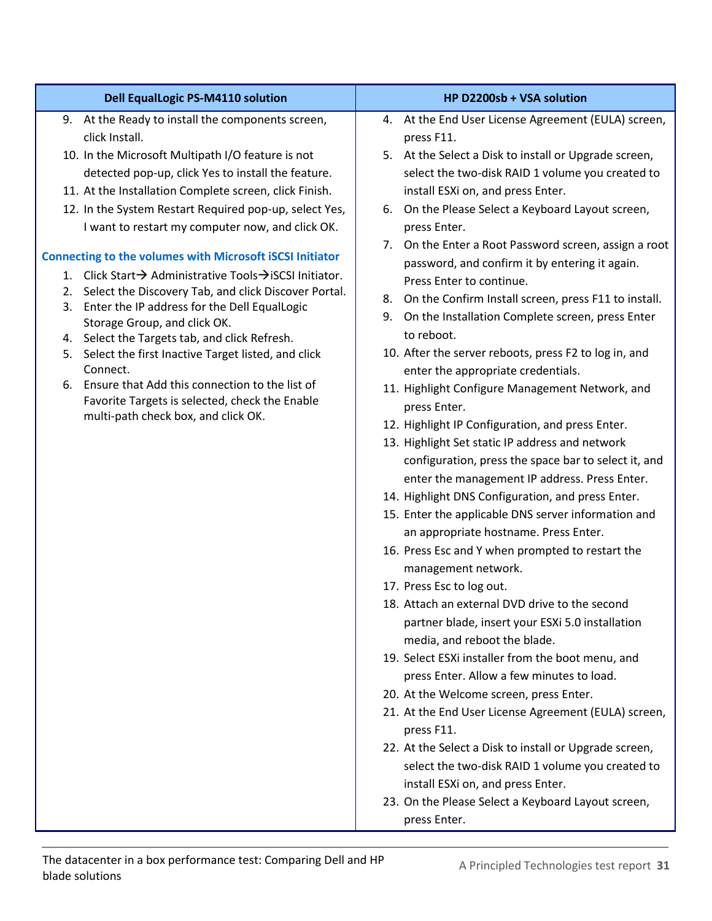| <b>Dell EqualLogic PS-M4110 solution</b>                                                                   | HP D2200sb + VSA solution                                                                          |
|------------------------------------------------------------------------------------------------------------|----------------------------------------------------------------------------------------------------|
| 9. At the Ready to install the components screen,                                                          | 4. At the End User License Agreement (EULA) screen,                                                |
| click Install.                                                                                             | press F11.                                                                                         |
| 10. In the Microsoft Multipath I/O feature is not                                                          | 5. At the Select a Disk to install or Upgrade screen,                                              |
| detected pop-up, click Yes to install the feature.                                                         | select the two-disk RAID 1 volume you created to                                                   |
| 11. At the Installation Complete screen, click Finish.                                                     | install ESXi on, and press Enter.                                                                  |
| 12. In the System Restart Required pop-up, select Yes,<br>I want to restart my computer now, and click OK. | 6. On the Please Select a Keyboard Layout screen,<br>press Enter.                                  |
| <b>Connecting to the volumes with Microsoft iSCSI Initiator</b>                                            | 7. On the Enter a Root Password screen, assign a root                                              |
| 1. Click Start → Administrative Tools → iSCSI Initiator.                                                   | password, and confirm it by entering it again.                                                     |
| Select the Discovery Tab, and click Discover Portal.<br>2.                                                 | Press Enter to continue.                                                                           |
| 3. Enter the IP address for the Dell EqualLogic                                                            | On the Confirm Install screen, press F11 to install.<br>8.                                         |
| Storage Group, and click OK.                                                                               | On the Installation Complete screen, press Enter<br>9.<br>to reboot.                               |
| 4. Select the Targets tab, and click Refresh.<br>5. Select the first Inactive Target listed, and click     | 10. After the server reboots, press F2 to log in, and                                              |
| Connect.                                                                                                   | enter the appropriate credentials.                                                                 |
| 6. Ensure that Add this connection to the list of                                                          | 11. Highlight Configure Management Network, and                                                    |
| Favorite Targets is selected, check the Enable                                                             | press Enter.                                                                                       |
| multi-path check box, and click OK.                                                                        | 12. Highlight IP Configuration, and press Enter.                                                   |
|                                                                                                            | 13. Highlight Set static IP address and network                                                    |
|                                                                                                            | configuration, press the space bar to select it, and                                               |
|                                                                                                            | enter the management IP address. Press Enter.                                                      |
|                                                                                                            | 14. Highlight DNS Configuration, and press Enter.                                                  |
|                                                                                                            | 15. Enter the applicable DNS server information and                                                |
|                                                                                                            | an appropriate hostname. Press Enter.                                                              |
|                                                                                                            | 16. Press Esc and Y when prompted to restart the                                                   |
|                                                                                                            | management network.                                                                                |
|                                                                                                            | 17. Press Esc to log out.                                                                          |
|                                                                                                            | 18. Attach an external DVD drive to the second<br>partner blade, insert your ESXi 5.0 installation |
|                                                                                                            | media, and reboot the blade.                                                                       |
|                                                                                                            | 19. Select ESXi installer from the boot menu, and                                                  |
|                                                                                                            | press Enter. Allow a few minutes to load.                                                          |
|                                                                                                            | 20. At the Welcome screen, press Enter.                                                            |
|                                                                                                            | 21. At the End User License Agreement (EULA) screen,                                               |
|                                                                                                            | press F11.<br>22. At the Select a Disk to install or Upgrade screen,                               |
|                                                                                                            | select the two-disk RAID 1 volume you created to                                                   |
|                                                                                                            | install ESXi on, and press Enter.                                                                  |
|                                                                                                            | 23. On the Please Select a Keyboard Layout screen,                                                 |
|                                                                                                            | press Enter.                                                                                       |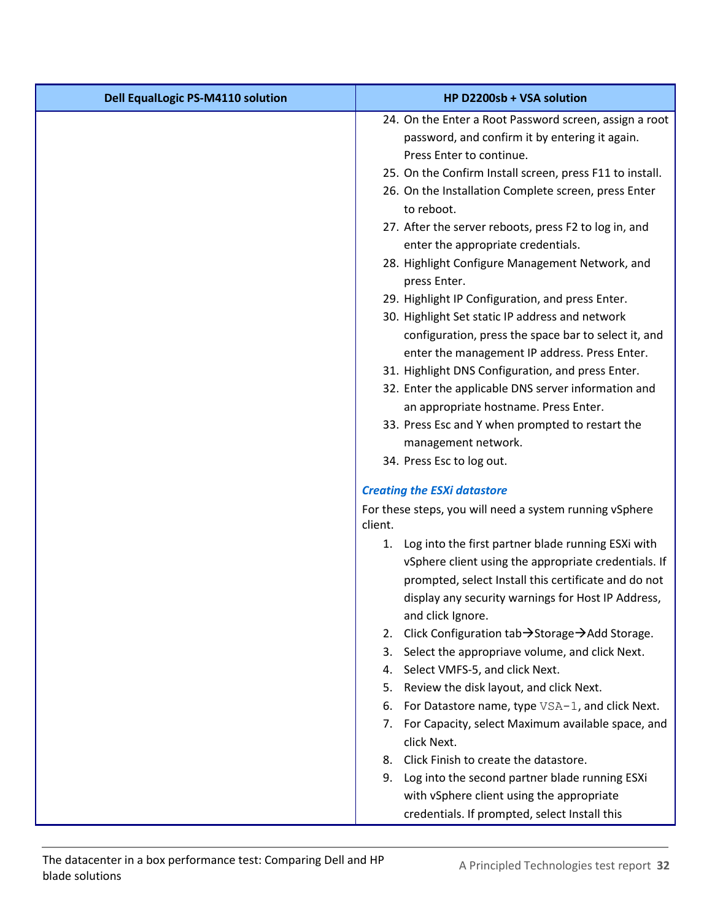| <b>Dell EqualLogic PS-M4110 solution</b> | HP D2200sb + VSA solution                                                                                |
|------------------------------------------|----------------------------------------------------------------------------------------------------------|
|                                          | 24. On the Enter a Root Password screen, assign a root<br>password, and confirm it by entering it again. |
|                                          | Press Enter to continue.<br>25. On the Confirm Install screen, press F11 to install.                     |
|                                          | 26. On the Installation Complete screen, press Enter<br>to reboot.                                       |
|                                          | 27. After the server reboots, press F2 to log in, and<br>enter the appropriate credentials.              |
|                                          | 28. Highlight Configure Management Network, and<br>press Enter.                                          |
|                                          | 29. Highlight IP Configuration, and press Enter.                                                         |
|                                          | 30. Highlight Set static IP address and network                                                          |
|                                          | configuration, press the space bar to select it, and                                                     |
|                                          | enter the management IP address. Press Enter.<br>31. Highlight DNS Configuration, and press Enter.       |
|                                          | 32. Enter the applicable DNS server information and                                                      |
|                                          | an appropriate hostname. Press Enter.                                                                    |
|                                          | 33. Press Esc and Y when prompted to restart the                                                         |
|                                          | management network.                                                                                      |
|                                          | 34. Press Esc to log out.                                                                                |
|                                          | <b>Creating the ESXi datastore</b>                                                                       |
|                                          | For these steps, you will need a system running vSphere<br>client.                                       |
|                                          | Log into the first partner blade running ESXi with<br>1.                                                 |
|                                          | vSphere client using the appropriate credentials. If                                                     |
|                                          | prompted, select Install this certificate and do not                                                     |
|                                          | display any security warnings for Host IP Address,                                                       |
|                                          | and click Ignore.<br>Click Configuration tab → Storage → Add Storage.<br>2.                              |
|                                          | Select the appropriave volume, and click Next.<br>3.                                                     |
|                                          | Select VMFS-5, and click Next.<br>4.                                                                     |
|                                          | Review the disk layout, and click Next.<br>5.                                                            |
|                                          | For Datastore name, type VSA-1, and click Next.<br>6.                                                    |
|                                          | For Capacity, select Maximum available space, and<br>7.<br>click Next.                                   |
|                                          | Click Finish to create the datastore.<br>8.                                                              |
|                                          | 9. Log into the second partner blade running ESXi                                                        |
|                                          | with vSphere client using the appropriate                                                                |
|                                          | credentials. If prompted, select Install this                                                            |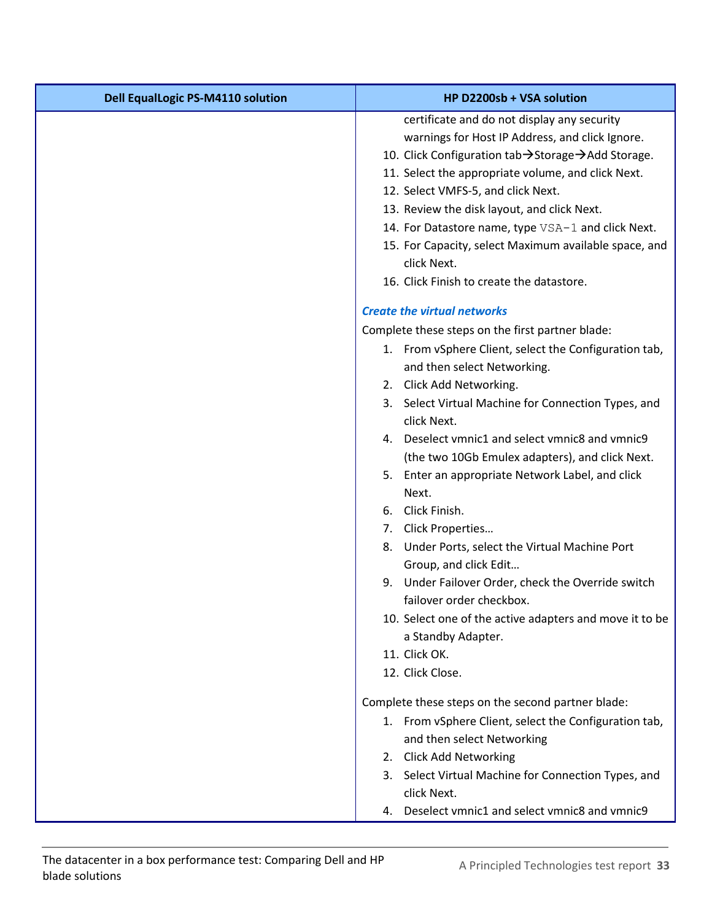| <b>Dell EqualLogic PS-M4110 solution</b> | HP D2200sb + VSA solution                                            |
|------------------------------------------|----------------------------------------------------------------------|
|                                          | certificate and do not display any security                          |
|                                          | warnings for Host IP Address, and click Ignore.                      |
|                                          | 10. Click Configuration tab→Storage→Add Storage.                     |
|                                          | 11. Select the appropriate volume, and click Next.                   |
|                                          | 12. Select VMFS-5, and click Next.                                   |
|                                          | 13. Review the disk layout, and click Next.                          |
|                                          | 14. For Datastore name, type VSA-1 and click Next.                   |
|                                          | 15. For Capacity, select Maximum available space, and<br>click Next. |
|                                          | 16. Click Finish to create the datastore.                            |
|                                          | <b>Create the virtual networks</b>                                   |
|                                          | Complete these steps on the first partner blade:                     |
|                                          | 1. From vSphere Client, select the Configuration tab,                |
|                                          | and then select Networking.                                          |
|                                          | 2. Click Add Networking.                                             |
|                                          | 3. Select Virtual Machine for Connection Types, and                  |
|                                          | click Next.                                                          |
|                                          | 4. Deselect vmnic1 and select vmnic8 and vmnic9                      |
|                                          | (the two 10Gb Emulex adapters), and click Next.                      |
|                                          | 5. Enter an appropriate Network Label, and click                     |
|                                          | Next.                                                                |
|                                          | 6. Click Finish.                                                     |
|                                          | 7. Click Properties                                                  |
|                                          | 8. Under Ports, select the Virtual Machine Port                      |
|                                          | Group, and click Edit                                                |
|                                          | 9. Under Failover Order, check the Override switch                   |
|                                          | failover order checkbox.                                             |
|                                          | 10. Select one of the active adapters and move it to be              |
|                                          | a Standby Adapter.                                                   |
|                                          | 11. Click OK.<br>12. Click Close.                                    |
|                                          |                                                                      |
|                                          | Complete these steps on the second partner blade:                    |
|                                          | 1. From vSphere Client, select the Configuration tab,                |
|                                          | and then select Networking                                           |
|                                          | 2. Click Add Networking                                              |
|                                          | 3. Select Virtual Machine for Connection Types, and                  |
|                                          | click Next.                                                          |
|                                          | 4. Deselect vmnic1 and select vmnic8 and vmnic9                      |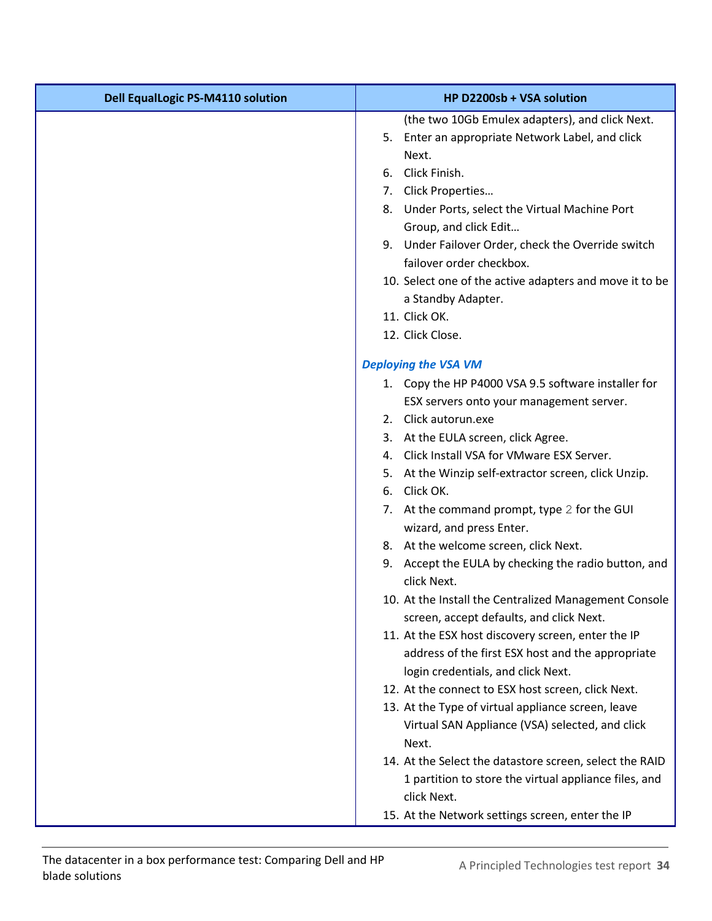| <b>Dell EqualLogic PS-M4110 solution</b> | HP D2200sb + VSA solution                                                                         |
|------------------------------------------|---------------------------------------------------------------------------------------------------|
|                                          | (the two 10Gb Emulex adapters), and click Next.                                                   |
|                                          | 5. Enter an appropriate Network Label, and click                                                  |
|                                          | Next.                                                                                             |
|                                          | 6. Click Finish.                                                                                  |
|                                          | 7. Click Properties                                                                               |
|                                          | Under Ports, select the Virtual Machine Port<br>8.                                                |
|                                          | Group, and click Edit                                                                             |
|                                          | 9. Under Failover Order, check the Override switch                                                |
|                                          | failover order checkbox.                                                                          |
|                                          | 10. Select one of the active adapters and move it to be                                           |
|                                          | a Standby Adapter.                                                                                |
|                                          | 11. Click OK.                                                                                     |
|                                          | 12. Click Close.                                                                                  |
|                                          | <b>Deploying the VSA VM</b>                                                                       |
|                                          | 1. Copy the HP P4000 VSA 9.5 software installer for                                               |
|                                          | ESX servers onto your management server.                                                          |
|                                          | 2. Click autorun.exe                                                                              |
|                                          | 3. At the EULA screen, click Agree.                                                               |
|                                          | 4. Click Install VSA for VMware ESX Server.                                                       |
|                                          | 5. At the Winzip self-extractor screen, click Unzip.                                              |
|                                          | 6. Click OK.                                                                                      |
|                                          | 7. At the command prompt, type 2 for the GUI                                                      |
|                                          | wizard, and press Enter.                                                                          |
|                                          | 8. At the welcome screen, click Next.                                                             |
|                                          | 9. Accept the EULA by checking the radio button, and<br>click Next.                               |
|                                          | 10. At the Install the Centralized Management Console<br>screen, accept defaults, and click Next. |
|                                          | 11. At the ESX host discovery screen, enter the IP                                                |
|                                          | address of the first ESX host and the appropriate                                                 |
|                                          | login credentials, and click Next.                                                                |
|                                          | 12. At the connect to ESX host screen, click Next.                                                |
|                                          | 13. At the Type of virtual appliance screen, leave                                                |
|                                          | Virtual SAN Appliance (VSA) selected, and click                                                   |
|                                          | Next.                                                                                             |
|                                          | 14. At the Select the datastore screen, select the RAID                                           |
|                                          | 1 partition to store the virtual appliance files, and                                             |
|                                          | click Next.                                                                                       |
|                                          | 15. At the Network settings screen, enter the IP                                                  |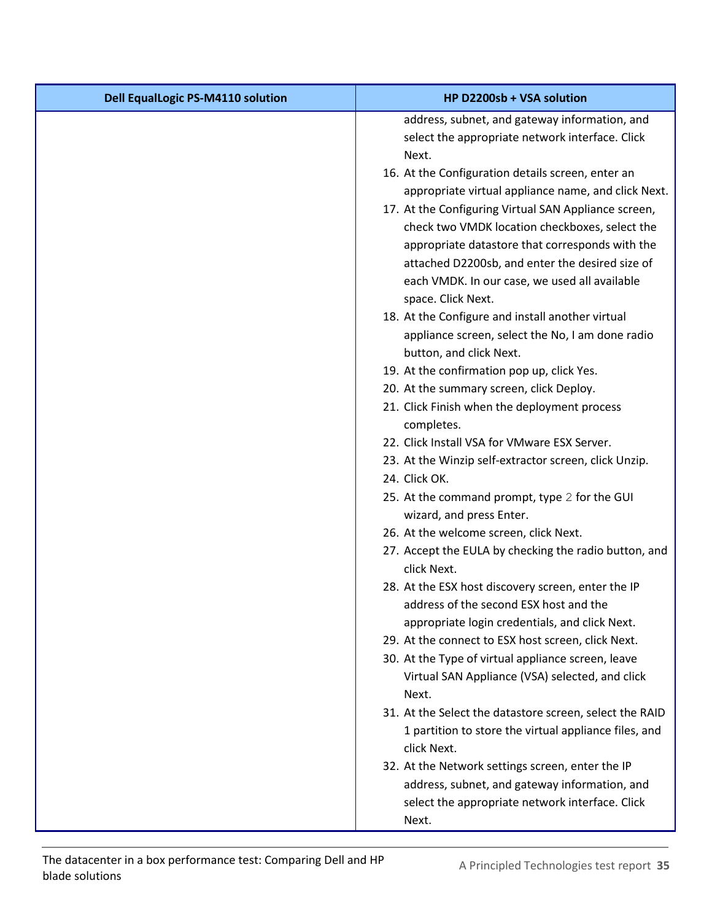| <b>Dell EqualLogic PS-M4110 solution</b> | HP D2200sb + VSA solution                               |
|------------------------------------------|---------------------------------------------------------|
|                                          | address, subnet, and gateway information, and           |
|                                          | select the appropriate network interface. Click         |
|                                          | Next.                                                   |
|                                          | 16. At the Configuration details screen, enter an       |
|                                          | appropriate virtual appliance name, and click Next.     |
|                                          | 17. At the Configuring Virtual SAN Appliance screen,    |
|                                          | check two VMDK location checkboxes, select the          |
|                                          | appropriate datastore that corresponds with the         |
|                                          | attached D2200sb, and enter the desired size of         |
|                                          | each VMDK. In our case, we used all available           |
|                                          | space. Click Next.                                      |
|                                          | 18. At the Configure and install another virtual        |
|                                          | appliance screen, select the No, I am done radio        |
|                                          | button, and click Next.                                 |
|                                          | 19. At the confirmation pop up, click Yes.              |
|                                          | 20. At the summary screen, click Deploy.                |
|                                          | 21. Click Finish when the deployment process            |
|                                          | completes.                                              |
|                                          | 22. Click Install VSA for VMware ESX Server.            |
|                                          | 23. At the Winzip self-extractor screen, click Unzip.   |
|                                          | 24. Click OK.                                           |
|                                          | 25. At the command prompt, type 2 for the GUI           |
|                                          | wizard, and press Enter.                                |
|                                          | 26. At the welcome screen, click Next.                  |
|                                          | 27. Accept the EULA by checking the radio button, and   |
|                                          | click Next.                                             |
|                                          | 28. At the ESX host discovery screen, enter the IP      |
|                                          | address of the second ESX host and the                  |
|                                          | appropriate login credentials, and click Next.          |
|                                          | 29. At the connect to ESX host screen, click Next.      |
|                                          | 30. At the Type of virtual appliance screen, leave      |
|                                          | Virtual SAN Appliance (VSA) selected, and click         |
|                                          | Next.                                                   |
|                                          | 31. At the Select the datastore screen, select the RAID |
|                                          | 1 partition to store the virtual appliance files, and   |
|                                          | click Next.                                             |
|                                          | 32. At the Network settings screen, enter the IP        |
|                                          | address, subnet, and gateway information, and           |
|                                          | select the appropriate network interface. Click         |
|                                          | Next.                                                   |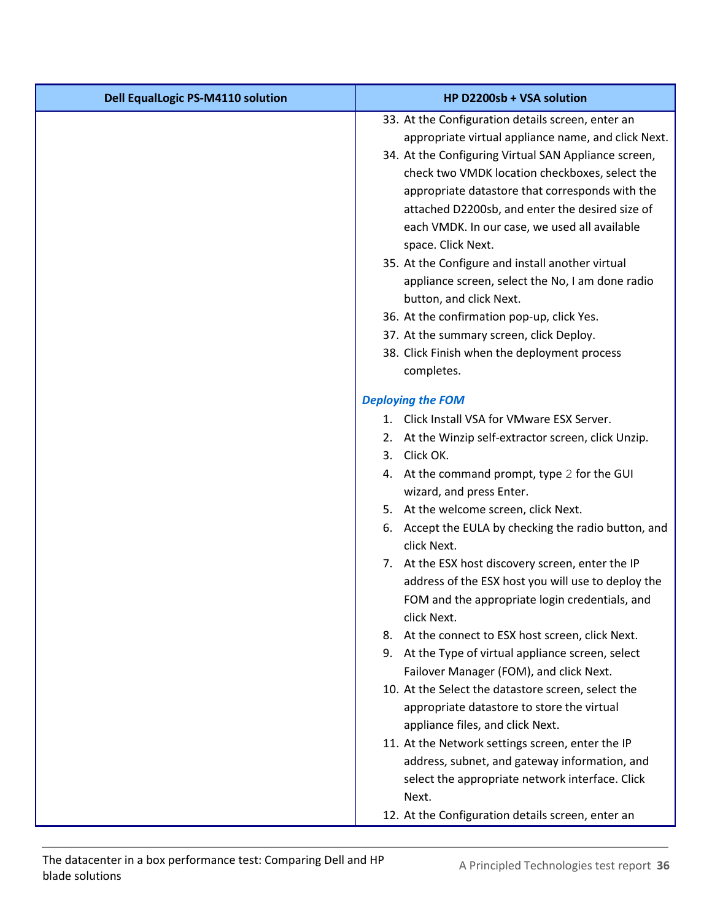| <b>Dell EqualLogic PS-M4110 solution</b> | HP D2200sb + VSA solution                                           |
|------------------------------------------|---------------------------------------------------------------------|
|                                          | 33. At the Configuration details screen, enter an                   |
|                                          | appropriate virtual appliance name, and click Next.                 |
|                                          | 34. At the Configuring Virtual SAN Appliance screen,                |
|                                          | check two VMDK location checkboxes, select the                      |
|                                          | appropriate datastore that corresponds with the                     |
|                                          | attached D2200sb, and enter the desired size of                     |
|                                          | each VMDK. In our case, we used all available                       |
|                                          | space. Click Next.                                                  |
|                                          | 35. At the Configure and install another virtual                    |
|                                          | appliance screen, select the No, I am done radio                    |
|                                          | button, and click Next.                                             |
|                                          | 36. At the confirmation pop-up, click Yes.                          |
|                                          | 37. At the summary screen, click Deploy.                            |
|                                          | 38. Click Finish when the deployment process                        |
|                                          | completes.                                                          |
|                                          | <b>Deploying the FOM</b>                                            |
|                                          | 1. Click Install VSA for VMware ESX Server.                         |
|                                          | 2. At the Winzip self-extractor screen, click Unzip.                |
|                                          | 3. Click OK.                                                        |
|                                          | 4. At the command prompt, type 2 for the GUI                        |
|                                          | wizard, and press Enter.                                            |
|                                          | 5. At the welcome screen, click Next.                               |
|                                          | 6. Accept the EULA by checking the radio button, and<br>click Next. |
|                                          | 7. At the ESX host discovery screen, enter the IP                   |
|                                          | address of the ESX host you will use to deploy the                  |
|                                          | FOM and the appropriate login credentials, and<br>click Next.       |
|                                          | 8. At the connect to ESX host screen, click Next.                   |
|                                          | 9. At the Type of virtual appliance screen, select                  |
|                                          | Failover Manager (FOM), and click Next.                             |
|                                          | 10. At the Select the datastore screen, select the                  |
|                                          | appropriate datastore to store the virtual                          |
|                                          | appliance files, and click Next.                                    |
|                                          | 11. At the Network settings screen, enter the IP                    |
|                                          | address, subnet, and gateway information, and                       |
|                                          | select the appropriate network interface. Click                     |
|                                          | Next.                                                               |
|                                          | 12. At the Configuration details screen, enter an                   |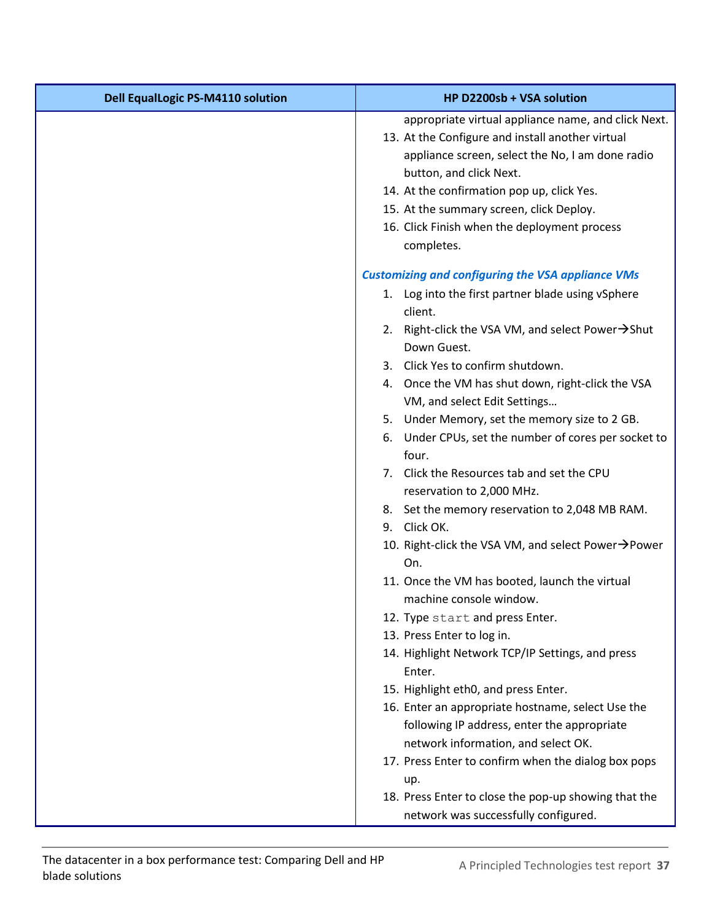| <b>Dell EqualLogic PS-M4110 solution</b> | HP D2200sb + VSA solution                                                                               |
|------------------------------------------|---------------------------------------------------------------------------------------------------------|
|                                          | appropriate virtual appliance name, and click Next.<br>13. At the Configure and install another virtual |
|                                          | appliance screen, select the No, I am done radio                                                        |
|                                          | button, and click Next.                                                                                 |
|                                          | 14. At the confirmation pop up, click Yes.<br>15. At the summary screen, click Deploy.                  |
|                                          | 16. Click Finish when the deployment process                                                            |
|                                          | completes.                                                                                              |
|                                          | <b>Customizing and configuring the VSA appliance VMs</b>                                                |
|                                          | 1. Log into the first partner blade using vSphere<br>client.                                            |
|                                          | 2. Right-click the VSA VM, and select Power $\rightarrow$ Shut<br>Down Guest.                           |
|                                          | 3. Click Yes to confirm shutdown.                                                                       |
|                                          | 4. Once the VM has shut down, right-click the VSA                                                       |
|                                          | VM, and select Edit Settings                                                                            |
|                                          | 5. Under Memory, set the memory size to 2 GB.                                                           |
|                                          | 6. Under CPUs, set the number of cores per socket to<br>four.                                           |
|                                          | 7. Click the Resources tab and set the CPU                                                              |
|                                          | reservation to 2,000 MHz.                                                                               |
|                                          | 8. Set the memory reservation to 2,048 MB RAM.                                                          |
|                                          | 9. Click OK.                                                                                            |
|                                          | 10. Right-click the VSA VM, and select Power→Power<br>On.                                               |
|                                          | 11. Once the VM has booted, launch the virtual<br>machine console window.                               |
|                                          | 12. Type start and press Enter.                                                                         |
|                                          | 13. Press Enter to log in.                                                                              |
|                                          | 14. Highlight Network TCP/IP Settings, and press<br>Enter.                                              |
|                                          | 15. Highlight eth0, and press Enter.                                                                    |
|                                          | 16. Enter an appropriate hostname, select Use the                                                       |
|                                          | following IP address, enter the appropriate<br>network information, and select OK.                      |
|                                          | 17. Press Enter to confirm when the dialog box pops<br>up.                                              |
|                                          | 18. Press Enter to close the pop-up showing that the                                                    |
|                                          | network was successfully configured.                                                                    |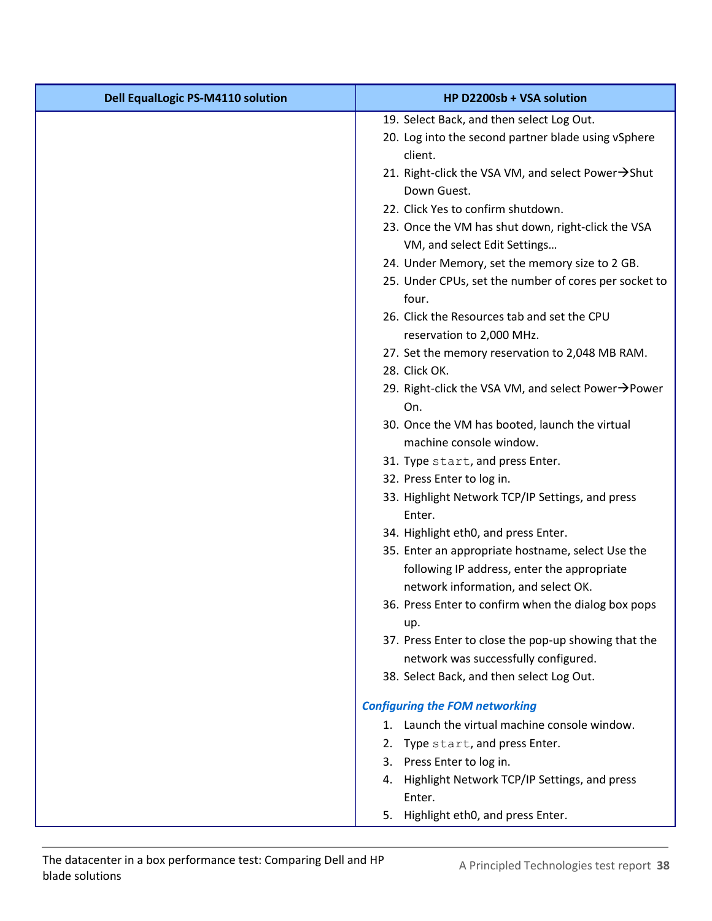| <b>Dell EqualLogic PS-M4110 solution</b> | HP D2200sb + VSA solution                                      |
|------------------------------------------|----------------------------------------------------------------|
|                                          | 19. Select Back, and then select Log Out.                      |
|                                          | 20. Log into the second partner blade using vSphere            |
|                                          | client.                                                        |
|                                          | 21. Right-click the VSA VM, and select Power→Shut              |
|                                          | Down Guest.                                                    |
|                                          | 22. Click Yes to confirm shutdown.                             |
|                                          | 23. Once the VM has shut down, right-click the VSA             |
|                                          | VM, and select Edit Settings                                   |
|                                          | 24. Under Memory, set the memory size to 2 GB.                 |
|                                          | 25. Under CPUs, set the number of cores per socket to<br>four. |
|                                          | 26. Click the Resources tab and set the CPU                    |
|                                          | reservation to 2,000 MHz.                                      |
|                                          | 27. Set the memory reservation to 2,048 MB RAM.                |
|                                          | 28. Click OK.                                                  |
|                                          | 29. Right-click the VSA VM, and select Power→Power<br>On.      |
|                                          | 30. Once the VM has booted, launch the virtual                 |
|                                          | machine console window.                                        |
|                                          | 31. Type start, and press Enter.                               |
|                                          | 32. Press Enter to log in.                                     |
|                                          | 33. Highlight Network TCP/IP Settings, and press<br>Enter.     |
|                                          | 34. Highlight eth0, and press Enter.                           |
|                                          | 35. Enter an appropriate hostname, select Use the              |
|                                          | following IP address, enter the appropriate                    |
|                                          | network information, and select OK.                            |
|                                          | 36. Press Enter to confirm when the dialog box pops            |
|                                          | up.<br>37. Press Enter to close the pop-up showing that the    |
|                                          | network was successfully configured.                           |
|                                          | 38. Select Back, and then select Log Out.                      |
|                                          |                                                                |
|                                          | <b>Configuring the FOM networking</b>                          |
|                                          | 1. Launch the virtual machine console window.                  |
|                                          | 2. Type start, and press Enter.                                |
|                                          | 3. Press Enter to log in.                                      |
|                                          | 4. Highlight Network TCP/IP Settings, and press<br>Enter.      |
|                                          |                                                                |
|                                          | Highlight eth0, and press Enter.<br>5.                         |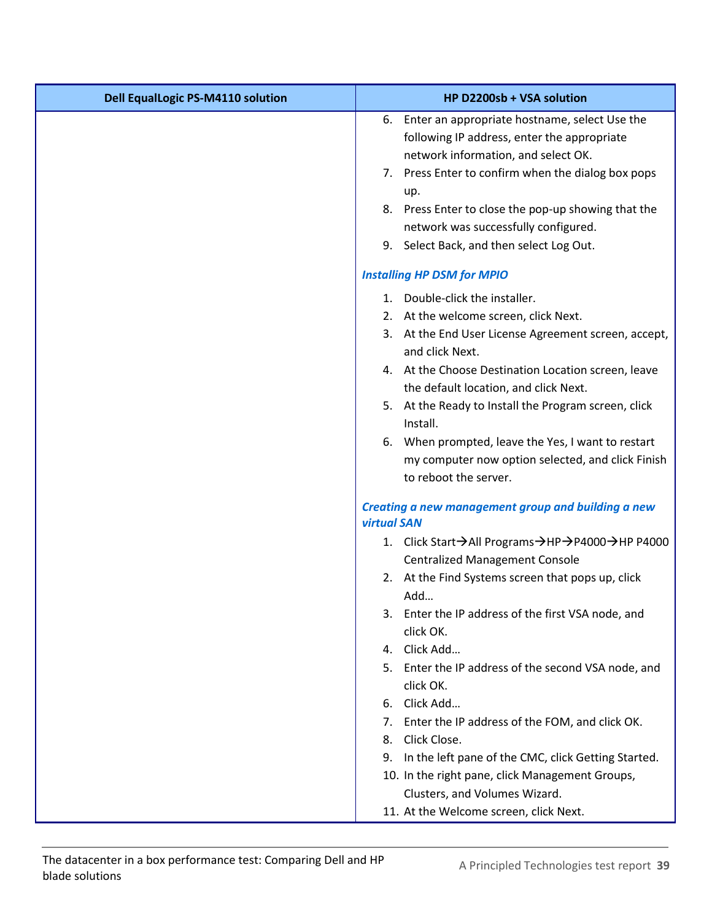| <b>Dell EqualLogic PS-M4110 solution</b> | HP D2200sb + VSA solution                                                                                                              |
|------------------------------------------|----------------------------------------------------------------------------------------------------------------------------------------|
|                                          | 6. Enter an appropriate hostname, select Use the<br>following IP address, enter the appropriate<br>network information, and select OK. |
|                                          | 7. Press Enter to confirm when the dialog box pops<br>up.                                                                              |
|                                          | 8. Press Enter to close the pop-up showing that the<br>network was successfully configured.                                            |
|                                          | 9. Select Back, and then select Log Out.                                                                                               |
|                                          | <b>Installing HP DSM for MPIO</b>                                                                                                      |
|                                          | 1. Double-click the installer.                                                                                                         |
|                                          | 2. At the welcome screen, click Next.                                                                                                  |
|                                          | 3. At the End User License Agreement screen, accept,<br>and click Next.                                                                |
|                                          | 4. At the Choose Destination Location screen, leave<br>the default location, and click Next.                                           |
|                                          | 5. At the Ready to Install the Program screen, click<br>Install.                                                                       |
|                                          | 6. When prompted, leave the Yes, I want to restart<br>my computer now option selected, and click Finish<br>to reboot the server.       |
|                                          | Creating a new management group and building a new<br><b>virtual SAN</b>                                                               |
|                                          | 1. Click Start → All Programs → HP → P4000 → HP P4000                                                                                  |
|                                          | <b>Centralized Management Console</b>                                                                                                  |
|                                          | 2. At the Find Systems screen that pops up, click<br>Add                                                                               |
|                                          | 3. Enter the IP address of the first VSA node, and<br>click OK.                                                                        |
|                                          | 4. Click Add                                                                                                                           |
|                                          | 5. Enter the IP address of the second VSA node, and<br>click OK.                                                                       |
|                                          | 6. Click Add                                                                                                                           |
|                                          | 7. Enter the IP address of the FOM, and click OK.                                                                                      |
|                                          | Click Close.<br>8.                                                                                                                     |
|                                          | In the left pane of the CMC, click Getting Started.<br>9.                                                                              |
|                                          | 10. In the right pane, click Management Groups,<br>Clusters, and Volumes Wizard.                                                       |
|                                          | 11. At the Welcome screen, click Next.                                                                                                 |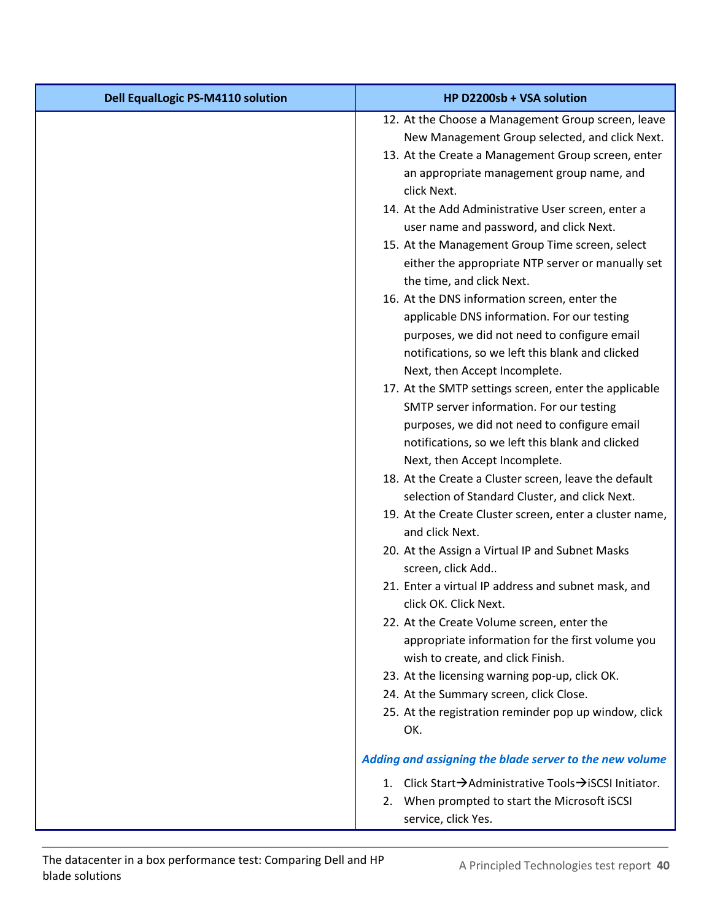| <b>Dell EqualLogic PS-M4110 solution</b> | HP D2200sb + VSA solution                                                                                                         |
|------------------------------------------|-----------------------------------------------------------------------------------------------------------------------------------|
|                                          | 12. At the Choose a Management Group screen, leave                                                                                |
|                                          | New Management Group selected, and click Next.                                                                                    |
|                                          | 13. At the Create a Management Group screen, enter                                                                                |
|                                          | an appropriate management group name, and<br>click Next.                                                                          |
|                                          | 14. At the Add Administrative User screen, enter a<br>user name and password, and click Next.                                     |
|                                          | 15. At the Management Group Time screen, select<br>either the appropriate NTP server or manually set<br>the time, and click Next. |
|                                          | 16. At the DNS information screen, enter the                                                                                      |
|                                          | applicable DNS information. For our testing                                                                                       |
|                                          | purposes, we did not need to configure email<br>notifications, so we left this blank and clicked                                  |
|                                          | Next, then Accept Incomplete.                                                                                                     |
|                                          | 17. At the SMTP settings screen, enter the applicable                                                                             |
|                                          | SMTP server information. For our testing                                                                                          |
|                                          | purposes, we did not need to configure email                                                                                      |
|                                          | notifications, so we left this blank and clicked                                                                                  |
|                                          | Next, then Accept Incomplete.                                                                                                     |
|                                          | 18. At the Create a Cluster screen, leave the default                                                                             |
|                                          | selection of Standard Cluster, and click Next.                                                                                    |
|                                          | 19. At the Create Cluster screen, enter a cluster name,<br>and click Next.                                                        |
|                                          | 20. At the Assign a Virtual IP and Subnet Masks<br>screen, click Add                                                              |
|                                          | 21. Enter a virtual IP address and subnet mask, and<br>click OK. Click Next.                                                      |
|                                          | 22. At the Create Volume screen, enter the                                                                                        |
|                                          | appropriate information for the first volume you                                                                                  |
|                                          | wish to create, and click Finish.                                                                                                 |
|                                          | 23. At the licensing warning pop-up, click OK.                                                                                    |
|                                          | 24. At the Summary screen, click Close.                                                                                           |
|                                          | 25. At the registration reminder pop up window, click<br>OK.                                                                      |
|                                          | Adding and assigning the blade server to the new volume                                                                           |
|                                          | 1. Click Start→Administrative Tools→iSCSI Initiator.                                                                              |
|                                          | When prompted to start the Microsoft iSCSI<br>2.<br>service, click Yes.                                                           |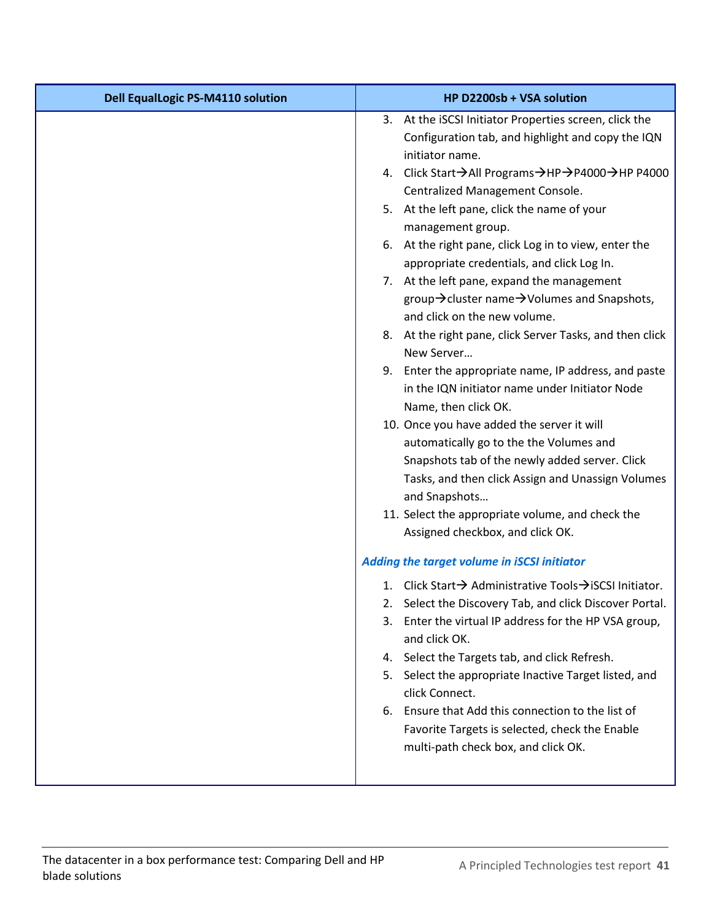| <b>Dell EqualLogic PS-M4110 solution</b> | HP D2200sb + VSA solution                                                                                                                                                                                                                                                                                                                                                                                                                                                                                                                                                                                                                                                                                                                                                                                                                                                                                                                                                                                                                                                                                                                                                                                                                                                                                                                                |
|------------------------------------------|----------------------------------------------------------------------------------------------------------------------------------------------------------------------------------------------------------------------------------------------------------------------------------------------------------------------------------------------------------------------------------------------------------------------------------------------------------------------------------------------------------------------------------------------------------------------------------------------------------------------------------------------------------------------------------------------------------------------------------------------------------------------------------------------------------------------------------------------------------------------------------------------------------------------------------------------------------------------------------------------------------------------------------------------------------------------------------------------------------------------------------------------------------------------------------------------------------------------------------------------------------------------------------------------------------------------------------------------------------|
|                                          | 3. At the iSCSI Initiator Properties screen, click the<br>Configuration tab, and highlight and copy the IQN<br>initiator name.<br>4. Click Start > All Programs > HP > P4000 > HP P4000<br>Centralized Management Console.<br>5. At the left pane, click the name of your<br>management group.<br>6. At the right pane, click Log in to view, enter the<br>appropriate credentials, and click Log In.<br>7. At the left pane, expand the management<br>group→ cluster name→ Volumes and Snapshots,<br>and click on the new volume.<br>8. At the right pane, click Server Tasks, and then click<br>New Server<br>9. Enter the appropriate name, IP address, and paste<br>in the IQN initiator name under Initiator Node<br>Name, then click OK.<br>10. Once you have added the server it will<br>automatically go to the the Volumes and<br>Snapshots tab of the newly added server. Click<br>Tasks, and then click Assign and Unassign Volumes<br>and Snapshots<br>11. Select the appropriate volume, and check the<br>Assigned checkbox, and click OK.<br>Adding the target volume in iSCSI initiator<br>1. Click Start→ Administrative Tools→iSCSI Initiator.<br>2. Select the Discovery Tab, and click Discover Portal.<br>Enter the virtual IP address for the HP VSA group,<br>3.<br>and click OK.<br>4. Select the Targets tab, and click Refresh. |
|                                          |                                                                                                                                                                                                                                                                                                                                                                                                                                                                                                                                                                                                                                                                                                                                                                                                                                                                                                                                                                                                                                                                                                                                                                                                                                                                                                                                                          |
|                                          |                                                                                                                                                                                                                                                                                                                                                                                                                                                                                                                                                                                                                                                                                                                                                                                                                                                                                                                                                                                                                                                                                                                                                                                                                                                                                                                                                          |
|                                          | 5. Select the appropriate Inactive Target listed, and<br>click Connect.                                                                                                                                                                                                                                                                                                                                                                                                                                                                                                                                                                                                                                                                                                                                                                                                                                                                                                                                                                                                                                                                                                                                                                                                                                                                                  |
|                                          | 6. Ensure that Add this connection to the list of<br>Favorite Targets is selected, check the Enable<br>multi-path check box, and click OK.                                                                                                                                                                                                                                                                                                                                                                                                                                                                                                                                                                                                                                                                                                                                                                                                                                                                                                                                                                                                                                                                                                                                                                                                               |